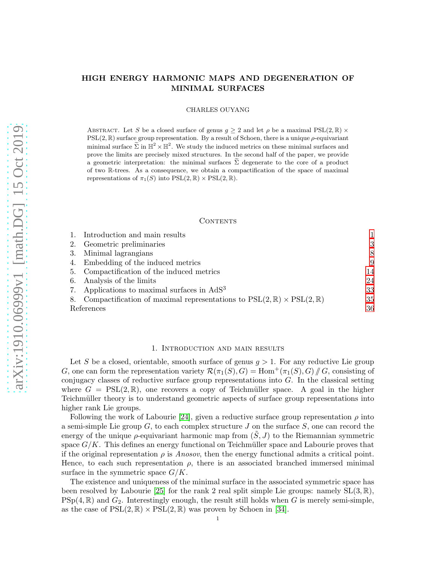# HIGH ENERGY HARMONIC MAPS AND DEGENERATION OF MINIMAL SURFACES

CHARLES OUYANG

ABSTRACT. Let S be a closed surface of genus  $g \geq 2$  and let  $\rho$  be a maximal PSL(2, R)  $\times$  $PSL(2, \mathbb{R})$  surface group representation. By a result of Schoen, there is a unique  $\rho$ -equivariant minimal surface  $\tilde{\Sigma}$  in  $\mathbb{H}^2 \times \mathbb{H}^2$ . We study the induced metrics on these minimal surfaces and prove the limits are precisely mixed structures. In the second half of the paper, we provide a geometric interpretation: the minimal surfaces  $\Sigma$  degenerate to the core of a product of two R-trees. As a consequence, we obtain a compactification of the space of maximal representations of  $\pi_1(S)$  into  $PSL(2, \mathbb{R}) \times PSL(2, \mathbb{R})$ .

### **CONTENTS**

|            | 1. Introduction and main results                                                               |    |
|------------|------------------------------------------------------------------------------------------------|----|
|            | 2. Geometric preliminaries                                                                     | 3  |
|            | 3. Minimal lagrangians                                                                         | 8  |
|            | 4. Embedding of the induced metrics                                                            | 9  |
|            | 5. Compactification of the induced metrics                                                     | 14 |
|            | 6. Analysis of the limits                                                                      | 24 |
|            | 7. Applications to maximal surfaces in AdS <sup>3</sup>                                        | 33 |
|            | 8. Compactification of maximal representations to $PSL(2,\mathbb{R}) \times PSL(2,\mathbb{R})$ | 35 |
| References |                                                                                                | 36 |

### 1. Introduction and main results

<span id="page-0-0"></span>Let S be a closed, orientable, smooth surface of genus  $q > 1$ . For any reductive Lie group G, one can form the representation variety  $\mathcal{R}(\pi_1(S), G) = \text{Hom}^+(\pi_1(S), G)/\!\!/ G$ , consisting of conjugacy classes of reductive surface group representations into  $G$ . In the classical setting where  $G = \text{PSL}(2, \mathbb{R})$ , one recovers a copy of Teichmüller space. A goal in the higher Teichmüller theory is to understand geometric aspects of surface group representations into higher rank Lie groups.

Following the work of Labourie [\[24\]](#page-36-0), given a reductive surface group representation  $\rho$  into a semi-simple Lie group  $G$ , to each complex structure  $J$  on the surface  $S$ , one can record the energy of the unique  $\rho$ -equivariant harmonic map from  $(S, J)$  to the Riemannian symmetric space  $G/K$ . This defines an energy functional on Teichmüller space and Labourie proves that if the original representation  $\rho$  is Anosov, then the energy functional admits a critical point. Hence, to each such representation  $\rho$ , there is an associated branched immersed minimal surface in the symmetric space  $G/K$ .

The existence and uniqueness of the minimal surface in the associated symmetric space has been resolved by Labourie [\[25\]](#page-36-1) for the rank 2 real split simple Lie groups: namely  $SL(3,\mathbb{R})$ ,  $PSp(4, \mathbb{R})$  and  $G_2$ . Interestingly enough, the result still holds when G is merely semi-simple, as the case of  $PSL(2,\mathbb{R}) \times PSL(2,\mathbb{R})$  was proven by Schoen in [\[34\]](#page-36-2).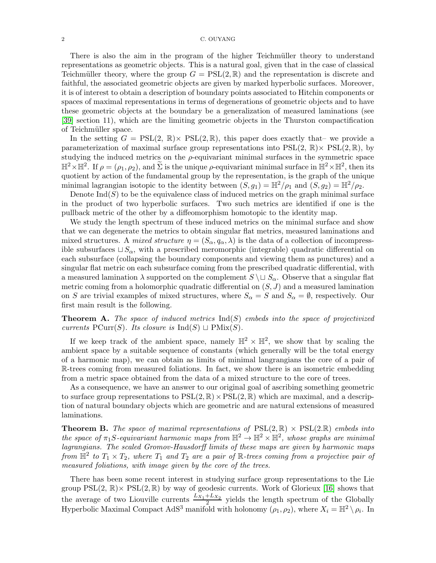There is also the aim in the program of the higher Teichmüller theory to understand representations as geometric objects. This is a natural goal, given that in the case of classical Teichmüller theory, where the group  $G = \text{PSL}(2,\mathbb{R})$  and the representation is discrete and faithful, the associated geometric objects are given by marked hyperbolic surfaces. Moreover, it is of interest to obtain a description of boundary points associated to Hitchin components or spaces of maximal representations in terms of degenerations of geometric objects and to have these geometric objects at the boundary be a generalization of measured laminations (see [\[39\]](#page-37-0) section 11), which are the limiting geometric objects in the Thurston compactification of Teichmüller space.

In the setting  $G = \text{PSL}(2, \mathbb{R}) \times \text{PSL}(2, \mathbb{R})$ , this paper does exactly that-we provide a parameterization of maximal surface group representations into  $PSL(2, \mathbb{R}) \times PSL(2, \mathbb{R})$ , by studying the induced metrics on the  $\rho$ -equivariant minimal surfaces in the symmetric space  $\mathbb{H}^2 \times \mathbb{H}^2$ . If  $\rho = (\rho_1, \rho_2)$ , and  $\widetilde{\Sigma}$  is the unique  $\rho$ -equivariant minimal surface in  $\mathbb{H}^2 \times \mathbb{H}^2$ , then its quotient by action of the fundamental group by the representation, is the graph of the unique minimal lagrangian isotopic to the identity between  $(S, g_1) = \mathbb{H}^2/\rho_1$  and  $(S, g_2) = \mathbb{H}^2/\rho_2$ .

Denote  $\text{Ind}(S)$  to be the equivalence class of induced metrics on the graph minimal surface in the product of two hyperbolic surfaces. Two such metrics are identified if one is the pullback metric of the other by a diffeomorphism homotopic to the identity map.

We study the length spectrum of these induced metrics on the minimal surface and show that we can degenerate the metrics to obtain singular flat metrics, measured laminations and mixed structures. A mixed structure  $\eta = (S_{\alpha}, q_{\alpha}, \lambda)$  is the data of a collection of incompressible subsurfaces  $\sqcup S_\alpha$ , with a prescribed meromorphic (integrable) quadratic differential on each subsurface (collapsing the boundary components and viewing them as punctures) and a singular flat metric on each subsurface coming from the prescribed quadratic differential, with a measured lamination  $\lambda$  supported on the complement  $S \cup S_\alpha$ . Observe that a singular flat metric coming from a holomorphic quadratic differential on  $(S, J)$  and a measured lamination on S are trivial examples of mixed structures, where  $S_{\alpha} = S$  and  $S_{\alpha} = \emptyset$ , respectively. Our first main result is the following.

**Theorem A.** The space of induced metrics  $\text{Ind}(S)$  embeds into the space of projectivized currents PCurr(S). Its closure is Ind(S)  $\sqcup$  PMix(S).

If we keep track of the ambient space, namely  $\mathbb{H}^2 \times \mathbb{H}^2$ , we show that by scaling the ambient space by a suitable sequence of constants (which generally will be the total energy of a harmonic map), we can obtain as limits of minimal langrangians the core of a pair of R-trees coming from measured foliations. In fact, we show there is an isometric embedding from a metric space obtained from the data of a mixed structure to the core of trees.

As a consequence, we have an answer to our original goal of ascribing something geometric to surface group representations to  $PSL(2, \mathbb{R}) \times PSL(2, \mathbb{R})$  which are maximal, and a description of natural boundary objects which are geometric and are natural extensions of measured laminations.

**Theorem B.** The space of maximal representations of  $PSL(2,\mathbb{R}) \times PSL(2,\mathbb{R})$  embeds into the space of  $\pi_1 S$ -equivariant harmonic maps from  $\mathbb{H}^2 \to \mathbb{H}^2 \times \mathbb{H}^2$ , whose graphs are minimal lagrangians. The scaled Gromov-Hausdorff limits of these maps are given by harmonic maps from  $\mathbb{H}^2$  to  $T_1 \times T_2$ , where  $T_1$  and  $T_2$  are a pair of  $\mathbb{R}$ -trees coming from a projective pair of measured foliations, with image given by the core of the trees.

There has been some recent interest in studying surface group representations to the Lie group  $PSL(2, \mathbb{R}) \times PSL(2, \mathbb{R})$  by way of geodesic currents. Work of Glorieux [\[16\]](#page-36-3) shows that the average of two Liouville currents  $\frac{L_{X_1}+L_{X_2}}{2}$  yields the length spectrum of the Globally Hyperbolic Maximal Compact AdS<sup>3</sup> manifold with holonomy  $(\rho_1, \rho_2)$ , where  $X_i = \mathbb{H}^2 \setminus \rho_i$ . In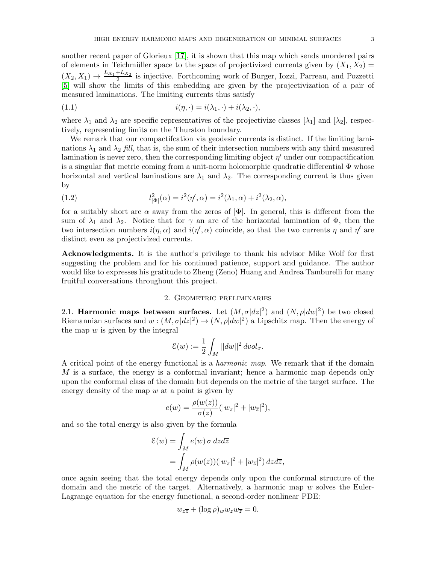another recent paper of Glorieux [\[17\]](#page-36-4), it is shown that this map which sends unordered pairs of elements in Teichmüller space to the space of projectivized currents given by  $(X_1, X_2)$  $(X_2, X_1) \to \frac{L_{X_1} + L_{X_2}}{2}$  $\frac{12}{2}$  is injective. Forthcoming work of Burger, Iozzi, Parreau, and Pozzetti [\[5\]](#page-36-5) will show the limits of this embedding are given by the projectivization of a pair of measured laminations. The limiting currents thus satisfy

(1.1) 
$$
i(\eta, \cdot) = i(\lambda_1, \cdot) + i(\lambda_2, \cdot),
$$

where  $\lambda_1$  and  $\lambda_2$  are specific representatives of the projectivize classes  $[\lambda_1]$  and  $[\lambda_2]$ , respectively, representing limits on the Thurston boundary.

We remark that our compactification via geodesic currents is distinct. If the limiting laminations  $\lambda_1$  and  $\lambda_2$  fill, that is, the sum of their intersection numbers with any third measured lamination is never zero, then the corresponding limiting object  $\eta'$  under our compactification is a singular flat metric coming from a unit-norm holomorphic quadratic differential  $\Phi$  whose horizontal and vertical laminations are  $\lambda_1$  and  $\lambda_2$ . The corresponding current is thus given by

(1.2) 
$$
l_{|\Phi|}^2(\alpha) = i^2(\eta', \alpha) = i^2(\lambda_1, \alpha) + i^2(\lambda_2, \alpha),
$$

for a suitably short arc  $\alpha$  away from the zeros of  $|\Phi|$ . In general, this is different from the sum of  $\lambda_1$  and  $\lambda_2$ . Notice that for  $\gamma$  an arc of the horizontal lamination of  $\Phi$ , then the two intersection numbers  $i(\eta, \alpha)$  and  $i(\eta', \alpha)$  coincide, so that the two currents  $\eta$  and  $\eta'$  are distinct even as projectivized currents.

Acknowledgments. It is the author's privilege to thank his advisor Mike Wolf for first suggesting the problem and for his continued patience, support and guidance. The author would like to expresses his gratitude to Zheng (Zeno) Huang and Andrea Tamburelli for many fruitful conversations throughout this project.

# 2. Geometric preliminaries

<span id="page-2-0"></span>2.1. Harmonic maps between surfaces. Let  $(M, \sigma |dz|^2)$  and  $(N, \rho |dw|^2)$  be two closed Riemannian surfaces and  $w:(M,\sigma|dz|^2) \to (N,\rho|dw|^2)$  a Lipschitz map. Then the energy of the map  $w$  is given by the integral

$$
\mathcal{E}(w) := \frac{1}{2} \int_M ||dw||^2 \, dvol_{\sigma}.
$$

A critical point of the energy functional is a harmonic map. We remark that if the domain M is a surface, the energy is a conformal invariant; hence a harmonic map depends only upon the conformal class of the domain but depends on the metric of the target surface. The energy density of the map  $w$  at a point is given by

$$
e(w) = \frac{\rho(w(z))}{\sigma(z)} (|w_z|^2 + |w_{\overline{z}}|^2),
$$

and so the total energy is also given by the formula

$$
\mathcal{E}(w) = \int_M e(w) \,\sigma \, dz d\overline{z}
$$
  
= 
$$
\int_M \rho(w(z)) (|w_z|^2 + |w_{\overline{z}}|^2) \, dz d\overline{z},
$$

once again seeing that the total energy depends only upon the conformal structure of the domain and the metric of the target. Alternatively, a harmonic map  $w$  solves the Euler-Lagrange equation for the energy functional, a second-order nonlinear PDE:

$$
w_{z\overline{z}} + (\log \rho)_w w_z w_{\overline{z}} = 0.
$$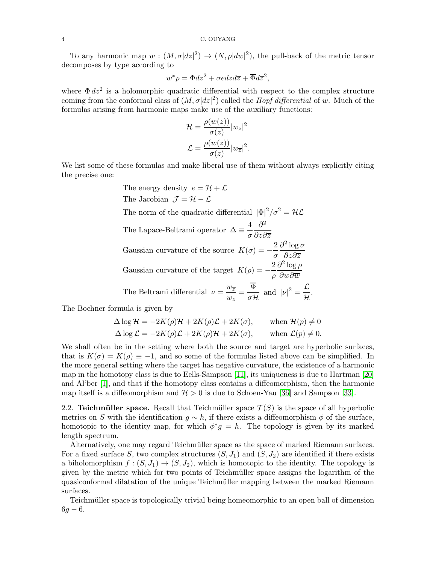To any harmonic map  $w:(M,\sigma|dz|^2)\to (N,\rho|dw|^2)$ , the pull-back of the metric tensor decomposes by type according to

$$
w^*\rho = \Phi dz^2 + \sigma e dz d\overline{z} + \overline{\Phi} d\overline{z}^2,
$$

where  $\Phi dz^2$  is a holomorphic quadratic differential with respect to the complex structure coming from the conformal class of  $(M, \sigma |dz|^2)$  called the *Hopf differential* of w. Much of the formulas arising from harmonic maps make use of the auxiliary functions:

$$
\mathcal{H} = \frac{\rho(w(z))}{\sigma(z)} |w_z|^2
$$

$$
\mathcal{L} = \frac{\rho(w(z))}{\sigma(z)} |w_{\overline{z}}|^2.
$$

We list some of these formulas and make liberal use of them without always explicitly citing the precise one:

The energy density 
$$
e = \mathcal{H} + \mathcal{L}
$$
  
\nThe Jacobian  $\mathcal{J} = \mathcal{H} - \mathcal{L}$   
\nThe norm of the quadratic differential  $|\Phi|^2 / \sigma^2 = \mathcal{H}\mathcal{L}$   
\nThe Lapace-Beltrami operator  $\Delta \equiv \frac{4}{\sigma} \frac{\partial^2}{\partial z \partial \overline{z}}$   
\nGaussian curvature of the source  $K(\sigma) = -\frac{2}{\sigma} \frac{\partial^2 \log \sigma}{\partial z \partial \overline{z}}$   
\nGaussian curvature of the target  $K(\rho) = -\frac{2}{\rho} \frac{\partial^2 \log \rho}{\partial w \partial \overline{w}}$   
\nThe Beltrami differential  $\nu = \frac{w_{\overline{z}}}{w_z} = \frac{\overline{\Phi}}{\sigma \mathcal{H}}$  and  $|\nu|^2 = \frac{\mathcal{L}}{\mathcal{H}}$ .

The Bochner formula is given by

$$
\Delta \log \mathcal{H} = -2K(\rho)\mathcal{H} + 2K(\rho)\mathcal{L} + 2K(\sigma), \quad \text{when } \mathcal{H}(p) \neq 0
$$
  

$$
\Delta \log \mathcal{L} = -2K(\rho)\mathcal{L} + 2K(\rho)\mathcal{H} + 2K(\sigma), \quad \text{when } \mathcal{L}(p) \neq 0.
$$

We shall often be in the setting where both the source and target are hyperbolic surfaces, that is  $K(\sigma) = K(\rho) \equiv -1$ , and so some of the formulas listed above can be simplified. In the more general setting where the target has negative curvature, the existence of a harmonic map in the homotopy class is due to Eells-Sampson [\[11\]](#page-36-6), its uniqueness is due to Hartman [\[20\]](#page-36-7) and Al'ber [\[1\]](#page-35-1), and that if the homotopy class contains a diffeomorphism, then the harmonic map itself is a diffeomorphism and  $H > 0$  is due to Schoen-Yau [\[36\]](#page-36-8) and Sampson [\[33\]](#page-36-9).

2.2. Teichmüller space. Recall that Teichmüller space  $\mathcal{T}(S)$  is the space of all hyperbolic metrics on S with the identification  $q \sim h$ , if there exists a diffeomorphism  $\phi$  of the surface, homotopic to the identity map, for which  $\phi^*g = h$ . The topology is given by its marked length spectrum.

Alternatively, one may regard Teichmüller space as the space of marked Riemann surfaces. For a fixed surface S, two complex structures  $(S, J_1)$  and  $(S, J_2)$  are identified if there exists a biholomorphism  $f : (S, J_1) \to (S, J_2)$ , which is homotopic to the identity. The topology is given by the metric which for two points of Teichmüller space assigns the logarithm of the quasiconformal dilatation of the unique Teichm¨uller mapping between the marked Riemann surfaces.

Teichmüller space is topologically trivial being homeomorphic to an open ball of dimension  $6g - 6.$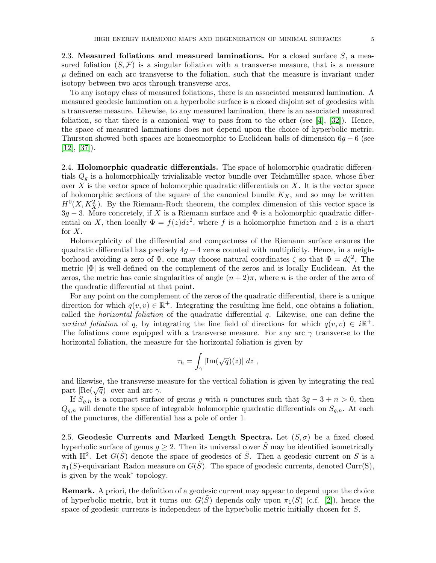2.3. Measured foliations and measured laminations. For a closed surface  $S$ , a measured foliation  $(S, \mathcal{F})$  is a singular foliation with a transverse measure, that is a measure  $\mu$  defined on each arc transverse to the foliation, such that the measure is invariant under isotopy between two arcs through transverse arcs.

To any isotopy class of measured foliations, there is an associated measured lamination. A measured geodesic lamination on a hyperbolic surface is a closed disjoint set of geodesics with a transverse measure. Likewise, to any measured lamination, there is an associated measured foliation, so that there is a canonical way to pass from to the other (see  $[4]$ ,  $[32]$ ). Hence, the space of measured laminations does not depend upon the choice of hyperbolic metric. Thurston showed both spaces are homeomorphic to Euclidean balls of dimension  $6q - 6$  (see  $[12]$ ,  $[37]$ ).

2.4. Holomorphic quadratic differentials. The space of holomorphic quadratic differentials  $Q<sub>g</sub>$  is a holomorphically trivializable vector bundle over Teichmüller space, whose fiber over  $X$  is the vector space of holomorphic quadratic differentials on  $X$ . It is the vector space of holomorphic sections of the square of the canonical bundle  $K_X$ , and so may be written  $H^0(X, K_X^2)$ . By the Riemann-Roch theorem, the complex dimension of this vector space is  $3g-3$ . More concretely, if X is a Riemann surface and  $\Phi$  is a holomorphic quadratic differential on X, then locally  $\Phi = f(z)dz^2$ , where f is a holomorphic function and z is a chart for  $X$ .

Holomorphicity of the differential and compactness of the Riemann surface ensures the quadratic differential has precisely  $4g - 4$  zeros counted with multiplicity. Hence, in a neighborhood avoiding a zero of  $\Phi$ , one may choose natural coordinates  $\zeta$  so that  $\Phi = d\zeta^2$ . The metric  $|\Phi|$  is well-defined on the complement of the zeros and is locally Euclidean. At the zeros, the metric has conic singularities of angle  $(n+2)\pi$ , where n is the order of the zero of the quadratic differential at that point.

For any point on the complement of the zeros of the quadratic differential, there is a unique direction for which  $q(v, v) \in \mathbb{R}^+$ . Integrating the resulting line field, one obtains a foliation, called the *horizontal foliation* of the quadratic differential  $q$ . Likewise, one can define the vertical foliation of q, by integrating the line field of directions for which  $q(v, v) \in i\mathbb{R}^+$ . The foliations come equipped with a transverse measure. For any arc  $\gamma$  transverse to the horizontal foliation, the measure for the horizontal foliation is given by

$$
\tau_h = \int_{\gamma} |\text{Im}(\sqrt{q})(z)| |dz|,
$$

and likewise, the transverse measure for the vertical foliation is given by integrating the real part  $|\text{Re}(\sqrt{q})|$  over and arc  $\gamma$ .

If  $S_{g,n}$  is a compact surface of genus g with n punctures such that  $3g - 3 + n > 0$ , then  $Q_{g,n}$  will denote the space of integrable holomorphic quadratic differentials on  $S_{g,n}$ . At each of the punctures, the differential has a pole of order 1.

2.5. Geodesic Currents and Marked Length Spectra. Let  $(S, \sigma)$  be a fixed closed hyperbolic surface of genus  $g \geq 2$ . Then its universal cover  $\tilde{S}$  may be identified isometrically with  $\mathbb{H}^2$ . Let  $G(\tilde{S})$  denote the space of geodesics of  $\tilde{S}$ . Then a geodesic current on S is a  $\pi_1(S)$ -equivariant Radon measure on  $G(\tilde{S})$ . The space of geodesic currents, denoted Curr(S), is given by the weak<sup>∗</sup> topology.

Remark. A priori, the definition of a geodesic current may appear to depend upon the choice of hyperbolic metric, but it turns out  $G(\tilde{S})$  depends only upon  $\pi_1(S)$  (c.f. [\[2\]](#page-35-2)), hence the space of geodesic currents is independent of the hyperbolic metric initially chosen for S.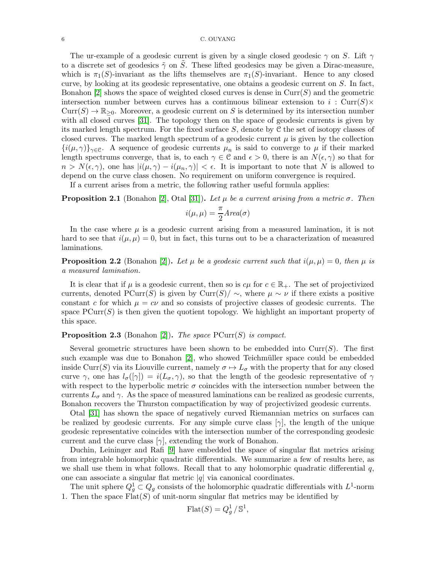The ur-example of a geodesic current is given by a single closed geodesic  $\gamma$  on S. Lift  $\gamma$ to a discrete set of geodesics  $\tilde{\gamma}$  on  $\tilde{S}$ . These lifted geodesics may be given a Dirac-measure, which is  $\pi_1(S)$ -invariant as the lifts themselves are  $\pi_1(S)$ -invariant. Hence to any closed curve, by looking at its geodesic representative, one obtains a geodesic current on S. In fact, Bonahon  $[2]$  shows the space of weighted closed curves is dense in  $Curr(S)$  and the geometric intersection number between curves has a continuous bilinear extension to i: Curr(S) $\times$  $Curr(S) \to \mathbb{R}_{\geq 0}$ . Moreover, a geodesic current on S is determined by its intersection number with all closed curves [\[31\]](#page-36-13). The topology then on the space of geodesic currents is given by its marked length spectrum. For the fixed surface  $S$ , denote by  $\mathfrak C$  the set of isotopy classes of closed curves. The marked length spectrum of a geodesic current  $\mu$  is given by the collection  ${i(\mu, \gamma)}_{\gamma \in \mathcal{C}}$ . A sequence of geodesic currents  $\mu_n$  is said to converge to  $\mu$  if their marked length spectrums converge, that is, to each  $\gamma \in \mathcal{C}$  and  $\epsilon > 0$ , there is an  $N(\epsilon, \gamma)$  so that for  $n > N(\epsilon, \gamma)$ , one has  $|i(\mu, \gamma) - i(\mu_n, \gamma)| < \epsilon$ . It is important to note that N is allowed to depend on the curve class chosen. No requirement on uniform convergence is required.

If a current arises from a metric, the following rather useful formula applies:

<span id="page-5-0"></span>**Proposition 2.1** (Bonahon [\[2\]](#page-35-2), Otal [\[31\]](#page-36-13)). Let  $\mu$  be a current arising from a metric  $\sigma$ . Then

$$
i(\mu,\mu)=\frac{\pi}{2}Area(\sigma)
$$

In the case where  $\mu$  is a geodesic current arising from a measured lamination, it is not hard to see that  $i(\mu, \mu) = 0$ , but in fact, this turns out to be a characterization of measured laminations.

**Proposition 2.2** (Bonahon [\[2\]](#page-35-2)). Let  $\mu$  be a geodesic current such that  $i(\mu, \mu) = 0$ , then  $\mu$  is a measured lamination.

It is clear that if  $\mu$  is a geodesic current, then so is  $c\mu$  for  $c \in \mathbb{R}_+$ . The set of projectivized currents, denoted PCurr(S) is given by Curr(S)  $\sim$ , where  $\mu \sim \nu$  if there exists a positive constant c for which  $\mu = c\nu$  and so consists of projective classes of geodesic currents. The space  $\text{PCurr}(S)$  is then given the quotient topology. We highlight an important property of this space.

# **Proposition 2.3** (Bonahon [\[2\]](#page-35-2)). The space  $PCurr(S)$  is compact.

Several geometric structures have been shown to be embedded into  $Curr(S)$ . The first such example was due to Bonahon  $|2|$ , who showed Teichmüller space could be embedded inside Curr(S) via its Liouville current, namely  $\sigma \mapsto L_{\sigma}$  with the property that for any closed curve  $\gamma$ , one has  $l_{\sigma}([\gamma]) = i(L_{\sigma}, \gamma)$ , so that the length of the geodesic representative of  $\gamma$ with respect to the hyperbolic metric  $\sigma$  coincides with the intersection number between the currents  $L_{\sigma}$  and  $\gamma$ . As the space of measured laminations can be realized as geodesic currents, Bonahon recovers the Thurston compactification by way of projectivized geodesic currents.

Otal [\[31\]](#page-36-13) has shown the space of negatively curved Riemannian metrics on surfaces can be realized by geodesic currents. For any simple curve class  $[\gamma]$ , the length of the unique geodesic representative coincides with the intersection number of the corresponding geodesic current and the curve class  $[\gamma]$ , extending the work of Bonahon.

Duchin, Leininger and Rafi [\[9\]](#page-36-14) have embedded the space of singular flat metrics arising from integrable holomorphic quadratic differentials. We summarize a few of results here, as we shall use them in what follows. Recall that to any holomorphic quadratic differential  $q$ , one can associate a singular flat metric  $|q|$  via canonical coordinates.

The unit sphere  $Q_g^1 \subset Q_g$  consists of the holomorphic quadratic differentials with  $L^1$ -norm 1. Then the space  $Flat(S)$  of unit-norm singular flat metrics may be identified by

$$
Flat(S) = Q_g^1 / \mathbb{S}^1,
$$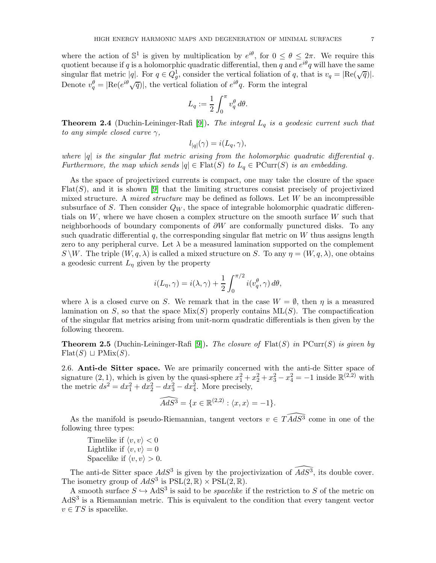where the action of  $\mathbb{S}^1$  is given by multiplication by  $e^{i\theta}$ , for  $0 \le \theta \le 2\pi$ . We require this quotient because if q is a holomorphic quadratic differential, then q and  $e^{i\theta}q$  will have the same singular flat metric  $|q|$ . For  $q \in \hat{Q}_g^1$ , consider the vertical foliation of q, that is  $v_q = |\text{Re}(\sqrt{q})|$ . Denote  $v_q^{\theta} = |\text{Re}(e^{i\theta}\sqrt{q})|$ , the vertical foliation of  $e^{i\theta}q$ . Form the integral

$$
L_q:=\frac{1}{2}\int_0^\pi v_q^\theta\,d\theta.
$$

**Theorem 2.4** (Duchin-Leininger-Rafi [\[9\]](#page-36-14)). The integral  $L_q$  is a geodesic current such that to any simple closed curve  $\gamma$ ,

$$
l_{|q|}(\gamma) = i(L_q, \gamma),
$$

where  $|q|$  is the singular flat metric arising from the holomorphic quadratic differential q. Furthermore, the map which sends  $|q| \in \text{Flat}(S)$  to  $L_q \in \text{PCurr}(S)$  is an embedding.

As the space of projectivized currents is compact, one may take the closure of the space  $Flat(S)$ , and it is shown [\[9\]](#page-36-14) that the limiting structures consist precisely of projectivized mixed structure. A *mixed structure* may be defined as follows. Let  $W$  be an incompressible subsurface of S. Then consider  $Q_W$ , the space of integrable holomorphic quadratic differentials on  $W$ , where we have chosen a complex structure on the smooth surface  $W$  such that neighborhoods of boundary components of  $\partial W$  are conformally punctured disks. To any such quadratic differential q, the corresponding singular flat metric on  $W$  thus assigns length zero to any peripheral curve. Let  $\lambda$  be a measured lamination supported on the complement  $S \backslash W$ . The triple  $(W, q, \lambda)$  is called a mixed structure on S. To any  $\eta = (W, q, \lambda)$ , one obtains a geodesic current  $L_{\eta}$  given by the property

$$
i(L_{\eta}, \gamma) = i(\lambda, \gamma) + \frac{1}{2} \int_0^{\pi/2} i(v_q^{\theta}, \gamma) d\theta,
$$

where  $\lambda$  is a closed curve on S. We remark that in the case  $W = \emptyset$ , then  $\eta$  is a measured lamination on S, so that the space  $Mix(S)$  properly contains  $ML(S)$ . The compactification of the singular flat metrics arising from unit-norm quadratic differentials is then given by the following theorem.

<span id="page-6-0"></span>**Theorem 2.5** (Duchin-Leininger-Rafi [\[9\]](#page-36-14)). The closure of  $Flat(S)$  in  $PCur(S)$  is given by  $Flat(S) \sqcup PMix(S).$ 

2.6. Anti-de Sitter space. We are primarily concerned with the anti-de Sitter space of signature  $(2, 1)$ , which is given by the quasi-sphere  $x_1^2 + x_2^2 + x_3^2 - x_4^2 = -1$  inside  $\mathbb{R}^{(2,2)}$  with the metric  $ds^2 = dx_1^2 + dx_2^2 - dx_3^2 - dx_4^2$ . More precisely,

$$
\widehat{AdS^3} = \{ x \in \mathbb{R}^{(2,2)} : \langle x, x \rangle = -1 \}.
$$

As the manifold is pseudo-Riemannian, tangent vectors  $v \in \widehat{TAdS}$  come in one of the following three types:

Timelike if  $\langle v, v \rangle < 0$ Lightlike if  $\langle v, v \rangle = 0$ Spacelike if  $\langle v, v \rangle > 0$ .

The anti-de Sitter space  $AdS^3$  is given by the projectivization of  $\widehat{AdS^3}$ , its double cover. The isometry group of  $AdS^3$  is  $PSL(2,\mathbb{R})\times \mathrm{PSL}(2,\mathbb{R})$ .

A smooth surface  $S \hookrightarrow AdS^3$  is said to be *spacelike* if the restriction to S of the metric on AdS<sup>3</sup> is a Riemannian metric. This is equivalent to the condition that every tangent vector  $v \in TS$  is spacelike.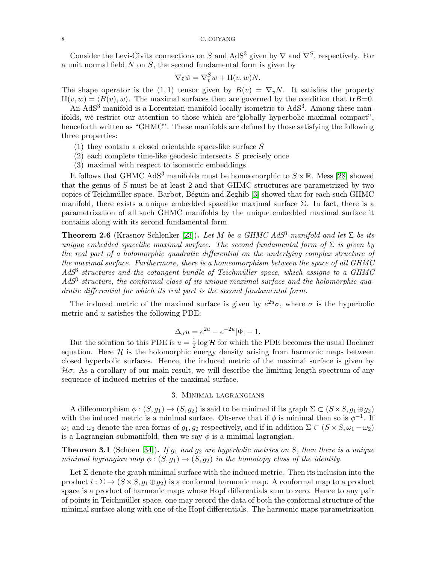Consider the Levi-Civita connections on S and AdS<sup>3</sup> given by  $\nabla$  and  $\nabla^S$ , respectively. For a unit normal field  $N$  on  $S$ , the second fundamental form is given by

$$
\nabla_{\tilde{v}} \tilde{w} = \nabla_v^S w + \Pi(v, w) N.
$$

The shape operator is the (1,1) tensor given by  $B(v) = \nabla_v N$ . It satisfies the property  $II(v, w) = \langle B(v), w \rangle$ . The maximal surfaces then are governed by the condition that tr $B=0$ .

An  $AdS<sup>3</sup>$  manifold is a Lorentzian manifold locally isometric to  $AdS<sup>3</sup>$ . Among these manifolds, we restrict our attention to those which are"globally hyperbolic maximal compact", henceforth written as "GHMC". These manifolds are defined by those satisfying the following three properties:

- $(1)$  they contain a closed orientable space-like surface S
- $(2)$  each complete time-like geodesic intersects S precisely once
- (3) maximal with respect to isometric embeddings.

It follows that GHMC AdS<sup>3</sup> manifolds must be homeomorphic to  $S \times \mathbb{R}$ . Mess [\[28\]](#page-36-15) showed that the genus of S must be at least 2 and that GHMC structures are parametrized by two copies of Teichmüller space. Barbot, Béguin and Zeghib [\[3\]](#page-35-3) showed that for each such GHMC manifold, there exists a unique embedded spacelike maximal surface  $\Sigma$ . In fact, there is a parametrization of all such GHMC manifolds by the unique embedded maximal surface it contains along with its second fundamental form.

**Theorem 2.6** (Krasnov-Schlenker [\[23\]](#page-36-16)). Let M be a GHMC AdS<sup>3</sup>-manifold and let  $\Sigma$  be its unique embedded spacelike maximal surface. The second fundamental form of  $\Sigma$  is given by the real part of a holomorphic quadratic differential on the underlying complex structure of the maximal surface. Furthermore, there is a homeomorphism between the space of all GHMC  $AdS<sup>3</sup>$ -structures and the cotangent bundle of Teichmüller space, which assigns to a GHMC  $AdS<sup>3</sup>$ -structure, the conformal class of its unique maximal surface and the holomorphic quadratic differential for which its real part is the second fundamental form.

The induced metric of the maximal surface is given by  $e^{2u}\sigma$ , where  $\sigma$  is the hyperbolic metric and u satisfies the following PDE:

$$
\Delta_{\sigma} u = e^{2u} - e^{-2u} |\Phi| - 1.
$$

But the solution to this PDE is  $u=\frac{1}{2}$  $\frac{1}{2}$  log H for which the PDE becomes the usual Bochner equation. Here  $H$  is the holomorphic energy density arising from harmonic maps between closed hyperbolic surfaces. Hence, the induced metric of the maximal surface is given by  $\mathcal{H}\sigma$ . As a corollary of our main result, we will describe the limiting length spectrum of any sequence of induced metrics of the maximal surface.

# 3. Minimal lagrangians

<span id="page-7-0"></span>A diffeomorphism  $\phi: (S, g_1) \to (S, g_2)$  is said to be minimal if its graph  $\Sigma \subset (S \times S, g_1 \oplus g_2)$ with the induced metric is a minimal surface. Observe that if  $\phi$  is minimal then so is  $\phi^{-1}$ . If  $\omega_1$  and  $\omega_2$  denote the area forms of  $g_1, g_2$  respectively, and if in addition  $\Sigma \subset (S \times S, \omega_1 - \omega_2)$ is a Lagrangian submanifold, then we say  $\phi$  is a minimal lagrangian.

<span id="page-7-1"></span>**Theorem 3.1** (Schoen [\[34\]](#page-36-2)). If  $g_1$  and  $g_2$  are hyperbolic metrics on S, then there is a unique minimal lagrangian map  $\phi$  :  $(S, g_1) \rightarrow (S, g_2)$  in the homotopy class of the identity.

Let  $\Sigma$  denote the graph minimal surface with the induced metric. Then its inclusion into the product  $i : \Sigma \to (S \times S, q_1 \oplus q_2)$  is a conformal harmonic map. A conformal map to a product space is a product of harmonic maps whose Hopf differentials sum to zero. Hence to any pair of points in Teichmüller space, one may record the data of both the conformal structure of the minimal surface along with one of the Hopf differentials. The harmonic maps parametrization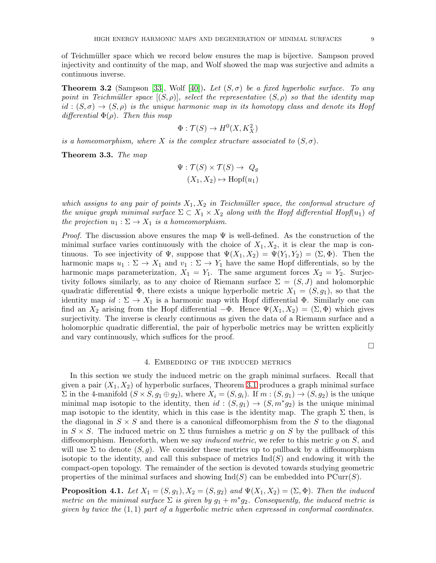of Teichm¨uller space which we record below ensures the map is bijective. Sampson proved injectivity and continuity of the map, and Wolf showed the map was surjective and admits a continuous inverse.

**Theorem 3.2** (Sampson [\[33\]](#page-36-9), Wolf [\[40\]](#page-37-2)). Let  $(S, \sigma)$  be a fixed hyperbolic surface. To any point in Teichmüller space  $[(S, \rho)]$ , select the representative  $(S, \rho)$  so that the identity map  $id : (S, \sigma) \rightarrow (S, \rho)$  is the unique harmonic map in its homotopy class and denote its Hopf differential  $\Phi(\rho)$ . Then this map

$$
\Phi : \mathcal{T}(S) \to H^0(X, K_X^2)
$$

is a homeomorphism, where X is the complex structure associated to  $(S, \sigma)$ .

Theorem 3.3. The map

$$
\Psi : \mathcal{T}(S) \times \mathcal{T}(S) \to Q_g
$$

$$
(X_1, X_2) \mapsto \text{Hopf}(u_1)
$$

which assigns to any pair of points  $X_1, X_2$  in Teichmüller space, the conformal structure of the unique graph minimal surface  $\Sigma \subset X_1 \times X_2$  along with the Hopf differential Hopf(u<sub>1</sub>) of the projection  $u_1 : \Sigma \to X_1$  is a homeomorphism.

*Proof.* The discussion above ensures the map  $\Psi$  is well-defined. As the construction of the minimal surface varies continuously with the choice of  $X_1, X_2$ , it is clear the map is continuous. To see injectivity of  $\Psi$ , suppose that  $\Psi(X_1, X_2) = \Psi(Y_1, Y_2) = (\Sigma, \Phi)$ . Then the harmonic maps  $u_1 : \Sigma \to X_1$  and  $v_1 : \Sigma \to Y_1$  have the same Hopf differentials, so by the harmonic maps parameterization,  $X_1 = Y_1$ . The same argument forces  $X_2 = Y_2$ . Surjectivity follows similarly, as to any choice of Riemann surface  $\Sigma = (S, J)$  and holomorphic quadratic differential  $\Phi$ , there exists a unique hyperbolic metric  $X_1 = (S, g_1)$ , so that the identity map  $id : \Sigma \to X_1$  is a harmonic map with Hopf differential  $\Phi$ . Similarly one can find an  $X_2$  arising from the Hopf differential  $-\Phi$ . Hence  $\Psi(X_1, X_2) = (\Sigma, \Phi)$  which gives surjectivity. The inverse is clearly continuous as given the data of a Riemann surface and a holomorphic quadratic differential, the pair of hyperbolic metrics may be written explicitly and vary continuously, which suffices for the proof.

 $\Box$ 

#### 4. Embedding of the induced metrics

<span id="page-8-0"></span>In this section we study the induced metric on the graph minimal surfaces. Recall that given a pair  $(X_1, X_2)$  of hyperbolic surfaces, Theorem [3.1](#page-7-1) produces a graph minimal surface  $\Sigma$  in the 4-manifold  $(S \times S, g_1 \oplus g_2)$ , where  $X_i = (S, g_i)$ . If  $m : (S, g_1) \rightarrow (S, g_2)$  is the unique minimal map isotopic to the identity, then  $id : (S, g_1) \to (S, m^*g_2)$  is the unique minimal map isotopic to the identity, which in this case is the identity map. The graph  $\Sigma$  then, is the diagonal in  $S \times S$  and there is a canonical diffeomorphism from the S to the diagonal in  $S \times S$ . The induced metric on  $\Sigma$  thus furnishes a metric q on S by the pullback of this diffeomorphism. Henceforth, when we say *induced metric*, we refer to this metric q on  $S$ , and will use  $\Sigma$  to denote  $(S, g)$ . We consider these metrics up to pullback by a diffeomorphism isotopic to the identity, and call this subspace of metrics  $\text{Ind}(S)$  and endowing it with the compact-open topology. The remainder of the section is devoted towards studying geometric properties of the minimal surfaces and showing  $\text{Ind}(S)$  can be embedded into  $\text{PCurr}(S)$ .

**Proposition 4.1.** Let  $X_1 = (S, g_1), X_2 = (S, g_2)$  and  $\Psi(X_1, X_2) = (\Sigma, \Phi)$ . Then the induced metric on the minimal surface  $\Sigma$  is given by  $g_1 + m^* g_2$ . Consequently, the induced metric is given by twice the  $(1,1)$  part of a hyperbolic metric when expressed in conformal coordinates.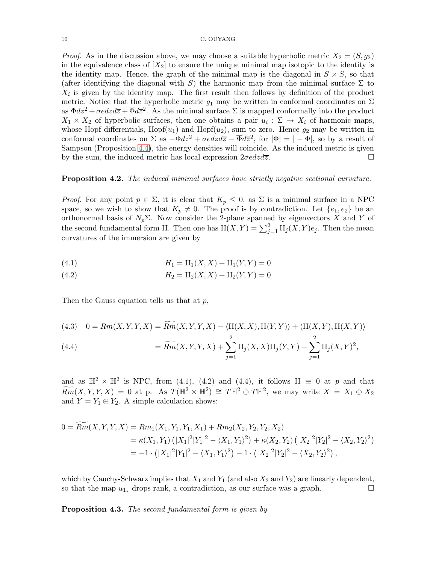*Proof.* As in the discussion above, we may choose a suitable hyperbolic metric  $X_2 = (S, g_2)$ in the equivalence class of  $[X_2]$  to ensure the unique minimal map isotopic to the identity is the identity map. Hence, the graph of the minimal map is the diagonal in  $S \times S$ , so that (after identifying the diagonal with S) the harmonic map from the minimal surface  $\Sigma$  to  $X_i$  is given by the identity map. The first result then follows by definition of the product metric. Notice that the hyperbolic metric  $g_1$  may be written in conformal coordinates on  $\Sigma$ as  $\Phi dz^2 + \sigma e dz d\overline{z} + \overline{\Phi} d\overline{z}^2$ . As the minimal surface  $\Sigma$  is mapped conformally into the product  $X_1 \times X_2$  of hyperbolic surfaces, then one obtains a pair  $u_i : \Sigma \to X_i$  of harmonic maps, whose Hopf differentials,  $Hopf(u_1)$  and  $Hopf(u_2)$ , sum to zero. Hence  $g_2$  may be written in conformal coordinates on  $\Sigma$  as  $-\Phi dz^2 + \sigma e dz d\overline{z} - \overline{\Phi} d\overline{z}^2$ , for  $|\Phi| = |- \Phi|$ , so by a result of Sampson (Proposition [4.4\)](#page-11-0), the energy densities will coincide. As the induced metric is given by the sum, the induced metric has local expression  $2\sigma e dz d\overline{z}$ .

# <span id="page-9-0"></span>Proposition 4.2. The induced minimal surfaces have strictly negative sectional curvature.

*Proof.* For any point  $p \in \Sigma$ , it is clear that  $K_p \leq 0$ , as  $\Sigma$  is a minimal surface in a NPC space, so we wish to show that  $K_p \neq 0$ . The proof is by contradiction. Let  $\{e_1, e_2\}$  be an orthonormal basis of  $N_p\Sigma$ . Now consider the 2-plane spanned by eigenvectors X and Y of the second fundamental form II. Then one has  $II(X,Y) = \sum_{j=1}^{2} II_j(X,Y)e_j$ . Then the mean curvatures of the immersion are given by

(4.1) 
$$
H_1 = \text{II}_1(X, X) + \text{II}_1(Y, Y) = 0
$$

(4.2) 
$$
H_2 = \text{II}_2(X, X) + \text{II}_2(Y, Y) = 0
$$

Then the Gauss equation tells us that at  $p$ ,

 $\overline{\phantom{a}}$ 

$$
(4.3) \quad 0 = Rm(X, Y, Y, X) = \widetilde{Rm}(X, Y, Y, X) - \langle \text{II}(X, X), \text{II}(Y, Y) \rangle + \langle \text{II}(X, Y), \text{II}(X, Y) \rangle
$$

(4.4) 
$$
= \widetilde{Rm}(X,Y,Y,X) + \sum_{j=1}^{2} \mathrm{II}_{j}(X,X)\mathrm{II}_{j}(Y,Y) - \sum_{j=1}^{2} \mathrm{II}_{j}(X,Y)^{2},
$$

and as  $\mathbb{H}^2 \times \mathbb{H}^2$  is NPC, from (4.1), (4.2) and (4.4), it follows II  $\equiv 0$  at p and that  $\widetilde{Rm}(X, Y, Y, X) = 0$  at p. As  $T(\mathbb{H}^2 \times \mathbb{H}^2) \cong T\mathbb{H}^2 \oplus T\mathbb{H}^2$ , we may write  $X = X_1 \oplus X_2$ and  $Y = Y_1 \oplus Y_2$ . A simple calculation shows:

$$
0 = \overline{Rm}(X, Y, Y, X) = Rm_1(X_1, Y_1, Y_1, X_1) + Rm_2(X_2, Y_2, Y_2, X_2)
$$
  
=  $\kappa(X_1, Y_1) (|X_1|^2 |Y_1|^2 - \langle X_1, Y_1 \rangle^2) + \kappa(X_2, Y_2) (|X_2|^2 |Y_2|^2 - \langle X_2, Y_2 \rangle^2)$   
=  $-1 \cdot (|X_1|^2 |Y_1|^2 - \langle X_1, Y_1 \rangle^2) - 1 \cdot (|X_2|^2 |Y_2|^2 - \langle X_2, Y_2 \rangle^2),$ 

which by Cauchy-Schwarz implies that  $X_1$  and  $Y_1$  (and also  $X_2$  and  $Y_2$ ) are linearly dependent, so that the map  $u_{1*}$  drops rank, a contradiction, as our surface was a graph.  $\Box$ 

Proposition 4.3. The second fundamental form is given by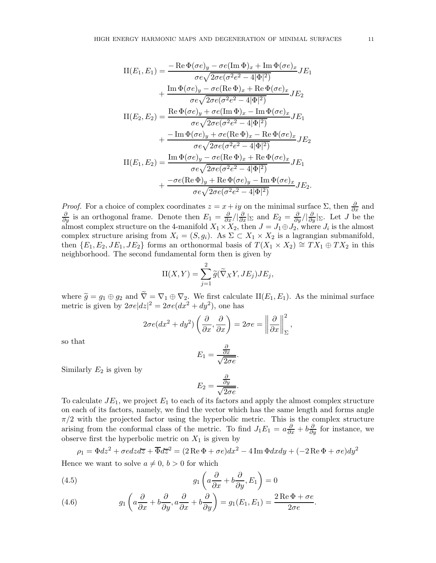$$
II(E_1, E_1) = \frac{-\operatorname{Re}\Phi(\sigma e)_y - \sigma e(\operatorname{Im}\Phi)_x + \operatorname{Im}\Phi(\sigma e)_x}{\sigma e \sqrt{2\sigma e (\sigma^2 e^2 - 4|\Phi|^2)}} J E_1
$$
  
+ 
$$
\frac{\operatorname{Im}\Phi(\sigma e)_y - \sigma e(\operatorname{Re}\Phi)_x + \operatorname{Re}\Phi(\sigma e)_x}{\sigma e \sqrt{2\sigma e (\sigma^2 e^2 - 4|\Phi|^2)}} J E_2
$$
  

$$
II(E_2, E_2) = \frac{\operatorname{Re}\Phi(\sigma e)_y + \sigma e(\operatorname{Im}\Phi)_x - \operatorname{Im}\Phi(\sigma e)_x}{\sigma e \sqrt{2\sigma e (\sigma^2 e^2 - 4|\Phi|^2)}} J E_1
$$
  
+ 
$$
\frac{-\operatorname{Im}\Phi(\sigma e)_y + \sigma e(\operatorname{Re}\Phi)_x - \operatorname{Re}\Phi(\sigma e)_x}{\sigma e \sqrt{2\sigma e (\sigma^2 e^2 - 4|\Phi|^2)}} J E_2
$$
  

$$
II(E_1, E_2) = \frac{\operatorname{Im}\Phi(\sigma e)_y - \sigma e(\operatorname{Re}\Phi)_x + \operatorname{Re}\Phi(\sigma e)_x}{\sigma e \sqrt{2\sigma e (\sigma^2 e^2 - 4|\Phi|^2)}} J E_1
$$
  
+ 
$$
\frac{-\sigma e(\operatorname{Re}\Phi)_y + \operatorname{Re}\Phi(\sigma e)_y - \operatorname{Im}\Phi(\sigma e)_x}{\sigma e \sqrt{2\sigma e (\sigma^2 e^2 - 4|\Phi|^2)}} J E_2.
$$

*Proof.* For a choice of complex coordinates  $z = x + iy$  on the minimal surface  $\Sigma$ , then  $\frac{\partial}{\partial x}$  and  $\frac{\partial}{\partial y}$  is an orthogonal frame. Denote then  $E_1 = \frac{\partial}{\partial x}/|\frac{\partial}{\partial x}|_{\Sigma}$  and  $E_2 = \frac{\partial}{\partial y}/|\frac{\partial}{\partial y}|_{\Sigma}$ . Let J b almost complex structure on the 4-manifold  $X_1 \times X_2$ , then  $J = J_1 \oplus J_2$ , where  $J_i$  is the almost complex structure arising from  $X_i = (S, g_i)$ . As  $\Sigma \subset X_1 \times X_2$  is a lagrangian submanifold, then  $\{E_1, E_2, JE_1, JE_2\}$  forms an orthonormal basis of  $T(X_1 \times X_2) \cong TX_1 \oplus TX_2$  in this neighborhood. The second fundamental form then is given by

$$
II(X,Y) = \sum_{j=1}^{2} \widetilde{g}(\widetilde{\nabla}_X Y, JE_j) JE_j,
$$

where  $\widetilde{g} = g_1 \oplus g_2$  and  $\nabla = \nabla_1 \oplus \nabla_2$ . We first calculate  $\Pi(E_1, E_1)$ . As the minimal surface metric is given by  $2\sigma e|dz|^2 = 2\sigma e(dx^2 + dy^2)$ , one has

$$
2\sigma e(dx^2 + dy^2) \left(\frac{\partial}{\partial x}, \frac{\partial}{\partial x}\right) = 2\sigma e = \left\|\frac{\partial}{\partial x}\right\|_{\Sigma}^2,
$$

so that

$$
E_1 = \frac{\frac{\partial}{\partial x}}{\sqrt{2\sigma e}}.
$$

Similarly  $E_2$  is given by

$$
E_2 = \frac{\frac{\partial}{\partial y}}{\sqrt{2\sigma e}}.
$$

To calculate  $JE_1$ , we project  $E_1$  to each of its factors and apply the almost complex structure on each of its factors, namely, we find the vector which has the same length and forms angle  $\pi/2$  with the projected factor using the hyperbolic metric. This is the complex structure arising from the conformal class of the metric. To find  $J_1E_1 = a\frac{\partial}{\partial x} + b\frac{\partial}{\partial y}$  for instance, we observe first the hyperbolic metric on  $X_1$  is given by

$$
\rho_1 = \Phi dz^2 + \sigma e dz d\overline{z} + \overline{\Phi} d\overline{z}^2 = (2 \operatorname{Re} \Phi + \sigma e) dx^2 - 4 \operatorname{Im} \Phi dx dy + (-2 \operatorname{Re} \Phi + \sigma e) dy^2
$$

Hence we want to solve  $a \neq 0, b > 0$  for which

(4.5) 
$$
g_1\left(a\frac{\partial}{\partial x} + b\frac{\partial}{\partial y}, E_1\right) = 0
$$

(4.6) 
$$
g_1\left(a\frac{\partial}{\partial x} + b\frac{\partial}{\partial y}, a\frac{\partial}{\partial x} + b\frac{\partial}{\partial y}\right) = g_1(E_1, E_1) = \frac{2\operatorname{Re}\Phi + \sigma e}{2\sigma e}.
$$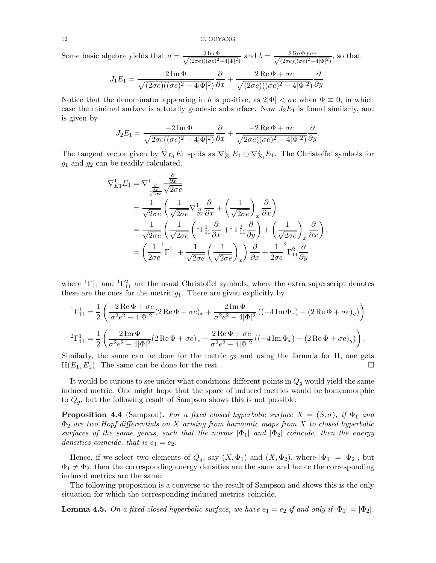Some basic algebra yields that  $a = \frac{2 \text{Im } \Phi}{\sqrt{(2\pi e)(\sigma e)^2}}$  $\frac{2 \operatorname{Im} \Phi}{(2 \sigma e)((\sigma e)^2 - 4|\Phi|^2)}$  and  $b = \frac{2 \operatorname{Re} \Phi + \sigma e}{\sqrt{(2 \sigma e)((\sigma e)^2 - 4|\Phi|^2)}}$  $\frac{2 \text{Re} \Phi + \sigma e}{(2 \sigma e)((\sigma e)^2 - 4|\Phi|^2)}$ , so that

$$
J_1E_1 = \frac{2 \operatorname{Im} \Phi}{\sqrt{(2\sigma e)((\sigma e)^2 - 4|\Phi|^2)}} \frac{\partial}{\partial x} + \frac{2 \operatorname{Re} \Phi + \sigma e}{\sqrt{(2\sigma e)((\sigma e)^2 - 4|\Phi|^2)}} \frac{\partial}{\partial y}.
$$

Notice that the denominator appearing in b is positive, as  $2|\Phi| < \sigma e$  when  $\Phi \equiv 0$ , in which case the minimal surface is a totally geodesic subsurface. Now  $J_2E_1$  is found similarly, and is given by

$$
J_2E_1 = \frac{-2 \operatorname{Im} \Phi}{\sqrt{2\sigma e((\sigma e)^2 - 4|\Phi|^2)}} \frac{\partial}{\partial x} + \frac{-2 \operatorname{Re} \Phi + \sigma e}{\sqrt{2\sigma e((\sigma e)^2 - 4|\Phi|^2)}} \frac{\partial}{\partial y}.
$$

The tangent vector given by  $\nabla_{E_1} E_1$  splits as  $\nabla_{E_1}^1 E_1 \oplus \nabla_{E_1}^2 E_1$ . The Christoffel symbols for  $g_1$  and  $g_2$  can be readily calculated.

$$
\nabla_{E1}^{1} E_1 = \nabla_{\frac{\partial}{\partial x} \over \frac{\partial x}{\partial \sigma e}} \frac{\partial}{\partial \sigma} \n= \frac{1}{\sqrt{2\sigma e}} \left( \frac{1}{\sqrt{2\sigma e}} \nabla_{\frac{\partial}{\partial x}}^{1} \frac{\partial}{\partial x} + \left( \frac{1}{\sqrt{2\sigma e}} \right)_x \frac{\partial}{\partial x} \right) \n= \frac{1}{\sqrt{2\sigma e}} \left( \frac{1}{\sqrt{2\sigma e}} \left( {}^{1}\Gamma_{11}^{1} \frac{\partial}{\partial x} + {}^{1}\Gamma_{11}^{2} \frac{\partial}{\partial y} \right) + \left( \frac{1}{\sqrt{2\sigma e}} \right)_x \frac{\partial}{\partial x} \right), \n= \left( \frac{1}{2\sigma e} {}^{1}\Gamma_{11}^{1} + \frac{1}{\sqrt{2\sigma e}} \left( \frac{1}{\sqrt{2\sigma e}} \right)_x \right) \frac{\partial}{\partial x} + \frac{1}{2\sigma e} {}^{2}\Gamma_{11}^{2} \frac{\partial}{\partial y}
$$

where  ${}^{1}\Gamma_{11}^{1}$  and  ${}^{1}\Gamma_{11}^{2}$  are the usual Christoffel symbols, where the extra superscript denotes these are the ones for the metric  $g_1$ . There are given explicitly by

$$
{}^{1}\Gamma^{1}_{11} = \frac{1}{2} \left( \frac{-2 \operatorname{Re} \Phi + \sigma e}{\sigma^{2} e^{2} - 4|\Phi|^{2}} (2 \operatorname{Re} \Phi + \sigma e)_{x} + \frac{2 \operatorname{Im} \Phi}{\sigma^{2} e^{2} - 4|\Phi|^{2}} ((-4 \operatorname{Im} \Phi_{x}) - (2 \operatorname{Re} \Phi + \sigma e)_{y}) \right)
$$
  

$$
{}^{2}\Gamma^{1}_{11} = \frac{1}{2} \left( \frac{2 \operatorname{Im} \Phi}{\sigma^{2} e^{2} - 4|\Phi|^{2}} (2 \operatorname{Re} \Phi + \sigma e)_{x} + \frac{2 \operatorname{Re} \Phi + \sigma e}{\sigma^{2} e^{2} - 4|\Phi|^{2}} ((-4 \operatorname{Im} \Phi_{x}) - (2 \operatorname{Re} \Phi + \sigma e)_{y}) \right).
$$

Similarly, the same can be done for the metric  $g_2$  and using the formula for II, one gets  $II(E_1, E_1)$ . The same can be done for the rest.

It would be curious to see under what conditions different points in  $Q<sub>q</sub>$  would yield the same induced metric. One might hope that the space of induced metrics would be homeomorphic to  $Q<sub>q</sub>$ , but the following result of Sampson shows this is not possible:

<span id="page-11-0"></span>**Proposition 4.4** (Sampson). For a fixed closed hyperbolic surface  $X = (S, \sigma)$ , if  $\Phi_1$  and  $\Phi_2$  are two Hopf differentials on X arising from harmonic maps from X to closed hyperbolic surfaces of the same genus, such that the norms  $|\Phi_1|$  and  $|\Phi_2|$  coincide, then the energy densities coincide, that is  $e_1 = e_2$ .

Hence, if we select two elements of  $Q_g$ , say  $(X, \Phi_1)$  and  $(X, \Phi_2)$ , where  $|\Phi_1| = |\Phi_2|$ , but  $\Phi_1 \neq \Phi_2$ , then the corresponding energy densities are the same and hence the corresponding induced metrics are the same.

The following proposition is a converse to the result of Sampson and shows this is the only situation for which the corresponding induced metrics coincide.

<span id="page-11-1"></span>**Lemma 4.5.** On a fixed closed hyperbolic surface, we have  $e_1 = e_2$  if and only if  $|\Phi_1| = |\Phi_2|$ .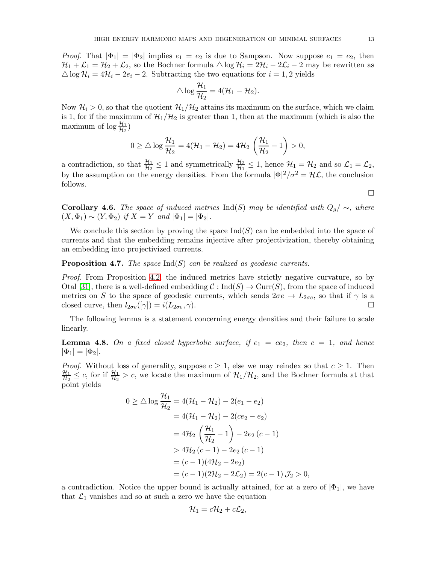*Proof.* That  $|\Phi_1| = |\Phi_2|$  implies  $e_1 = e_2$  is due to Sampson. Now suppose  $e_1 = e_2$ , then  $\mathcal{H}_1 + \mathcal{L}_1 = \mathcal{H}_2 + \mathcal{L}_2$ , so the Bochner formula  $\triangle \log \mathcal{H}_i = 2\mathcal{H}_i - 2\mathcal{L}_i - 2$  may be rewritten as  $\triangle \log \mathcal{H}_i = 4\mathcal{H}_i - 2e_i - 2$ . Subtracting the two equations for  $i = 1, 2$  yields

$$
\triangle \log \frac{\mathcal{H}_1}{\mathcal{H}_2} = 4(\mathcal{H}_1 - \mathcal{H}_2).
$$

Now  $\mathcal{H}_i > 0$ , so that the quotient  $\mathcal{H}_1/\mathcal{H}_2$  attains its maximum on the surface, which we claim is 1, for if the maximum of  $\mathcal{H}_1/\mathcal{H}_2$  is greater than 1, then at the maximum (which is also the maximum of  $\log \frac{\mathcal{H}_1}{\mathcal{H}_2}$ )

$$
0 \geq \triangle \log \frac{\mathcal{H}_1}{\mathcal{H}_2} = 4(\mathcal{H}_1 - \mathcal{H}_2) = 4\mathcal{H}_2 \left(\frac{\mathcal{H}_1}{\mathcal{H}_2} - 1\right) > 0,
$$

a contradiction, so that  $\frac{\mathcal{H}_1}{\mathcal{H}_2} \leq 1$  and symmetrically  $\frac{\mathcal{H}_2}{\mathcal{H}_1} \leq 1$ , hence  $\mathcal{H}_1 = \mathcal{H}_2$  and so  $\mathcal{L}_1 = \mathcal{L}_2$ , by the assumption on the energy densities. From the formula  $|\Phi|^2/\sigma^2 = H\mathcal{L}$ , the conclusion follows.

**Corollary 4.6.** The space of induced metrics Ind(S) may be identified with  $Q_q / \sim$ , where  $(X, \Phi_1) \sim (Y, \Phi_2)$  if  $X = Y$  and  $|\Phi_1| = |\Phi_2|$ .

We conclude this section by proving the space  $\text{Ind}(S)$  can be embedded into the space of currents and that the embedding remains injective after projectivization, thereby obtaining an embedding into projectivized currents.

# **Proposition 4.7.** The space  $\text{Ind}(S)$  can be realized as geodesic currents.

Proof. From Proposition [4.2,](#page-9-0) the induced metrics have strictly negative curvature, so by Otal [\[31\]](#page-36-13), there is a well-defined embedding  $C: \text{Ind}(S) \to \text{Curr}(S)$ , from the space of induced metrics on S to the space of geodesic currents, which sends  $2\sigma e \mapsto L_{2\sigma e}$ , so that if  $\gamma$  is a closed curve, then  $l_{2\sigma e}(\gamma) = i(L_{2\sigma e}, \gamma)$ . closed curve, then  $l_{2\sigma e}(\gamma) = i(L_{2\sigma e}, \gamma)$ .

The following lemma is a statement concerning energy densities and their failure to scale linearly.

<span id="page-12-0"></span>**Lemma 4.8.** On a fixed closed hyperbolic surface, if  $e_1 = ce_2$ , then  $c = 1$ , and hence  $|\Phi_1| = |\Phi_2|.$ 

*Proof.* Without loss of generality, suppose  $c \geq 1$ , else we may reindex so that  $c \geq 1$ . Then  $\mathcal{H}_1$  $\frac{\mathcal{H}_1}{\mathcal{H}_2} \leq c$ , for if  $\frac{\mathcal{H}_1}{\mathcal{H}_2} > c$ , we locate the maximum of  $\mathcal{H}_1/\mathcal{H}_2$ , and the Bochner formula at that point yields

$$
0 \ge \triangle \log \frac{\mathcal{H}_1}{\mathcal{H}_2} = 4(\mathcal{H}_1 - \mathcal{H}_2) - 2(e_1 - e_2)
$$
  
= 4(\mathcal{H}\_1 - \mathcal{H}\_2) - 2(ce\_2 - e\_2)  
= 4\mathcal{H}\_2 \left(\frac{\mathcal{H}\_1}{\mathcal{H}\_2} - 1\right) - 2e\_2 (c - 1)  
> 4\mathcal{H}\_2 (c - 1) - 2e\_2 (c - 1)  
= (c - 1)(4\mathcal{H}\_2 - 2e\_2)  
= (c - 1)(2\mathcal{H}\_2 - 2\mathcal{L}\_2) = 2(c - 1) \mathcal{J}\_2 > 0,

a contradiction. Notice the upper bound is actually attained, for at a zero of  $|\Phi_1|$ , we have that  $\mathcal{L}_1$  vanishes and so at such a zero we have the equation

$$
\mathcal{H}_1=c\mathcal{H}_2+c\mathcal{L}_2,
$$

 $\Box$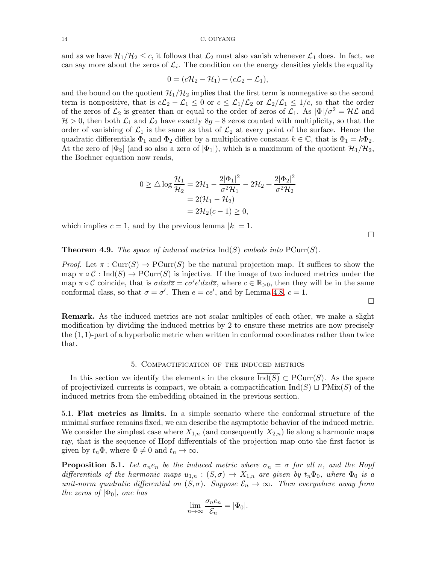and as we have  $\mathcal{H}_1/\mathcal{H}_2 \leq c$ , it follows that  $\mathcal{L}_2$  must also vanish whenever  $\mathcal{L}_1$  does. In fact, we can say more about the zeros of  $\mathcal{L}_i$ . The condition on the energy densities yields the equality

$$
0=(c\mathcal{H}_2-\mathcal{H}_1)+(c\mathcal{L}_2-\mathcal{L}_1),
$$

and the bound on the quotient  $\mathcal{H}_1/\mathcal{H}_2$  implies that the first term is nonnegative so the second term is nonpositive, that is  $c\mathcal{L}_2 - \mathcal{L}_1 \leq 0$  or  $c \leq \mathcal{L}_1/\mathcal{L}_2$  or  $\mathcal{L}_2/\mathcal{L}_1 \leq 1/c$ , so that the order of the zeros of  $\mathcal{L}_2$  is greater than or equal to the order of zeros of  $\mathcal{L}_1$ . As  $|\Phi|/\sigma^2 = H\mathcal{L}$  and  $H > 0$ , then both  $\mathcal{L}_1$  and  $\mathcal{L}_2$  have exactly  $8g - 8$  zeros counted with multiplicity, so that the order of vanishing of  $\mathcal{L}_1$  is the same as that of  $\mathcal{L}_2$  at every point of the surface. Hence the quadratic differentials  $\Phi_1$  and  $\Phi_2$  differ by a multiplicative constant  $k \in \mathbb{C}$ , that is  $\Phi_1 = k\Phi_2$ . At the zero of  $|\Phi_2|$  (and so also a zero of  $|\Phi_1|$ ), which is a maximum of the quotient  $\mathcal{H}_1/\mathcal{H}_2$ , the Bochner equation now reads,

$$
0 \ge \triangle \log \frac{\mathcal{H}_1}{\mathcal{H}_2} = 2\mathcal{H}_1 - \frac{2|\Phi_1|^2}{\sigma^2 \mathcal{H}_1} - 2\mathcal{H}_2 + \frac{2|\Phi_2|^2}{\sigma^2 \mathcal{H}_2} = 2(\mathcal{H}_1 - \mathcal{H}_2) = 2\mathcal{H}_2(c - 1) \ge 0,
$$

which implies  $c = 1$ , and by the previous lemma  $|k| = 1$ .

 $\Box$ 

 $\Box$ 

<span id="page-13-1"></span>**Theorem 4.9.** The space of induced metrics  $\text{Ind}(S)$  embeds into  $\text{PCur}(S)$ .

*Proof.* Let  $\pi$ : Curr(S)  $\rightarrow$  PCurr(S) be the natural projection map. It suffices to show the map  $\pi \circ \mathcal{C} : \text{Ind}(S) \to \text{PCur}(S)$  is injective. If the image of two induced metrics under the map  $\pi \circ C$  coincide, that is  $\sigma dz d\overline{z} = c\sigma' e'dz d\overline{z}$ , where  $c \in \mathbb{R}_{>0}$ , then they will be in the same conformal class, so that  $\sigma = \sigma'$ . Then  $e = ce'$ , and by Lemma [4.8,](#page-12-0)  $c = 1$ .

Remark. As the induced metrics are not scalar multiples of each other, we make a slight modification by dividing the induced metrics by 2 to ensure these metrics are now precisely the (1, 1)-part of a hyperbolic metric when written in conformal coordinates rather than twice that.

# 5. Compactification of the induced metrics

<span id="page-13-0"></span>In this section we identify the elements in the closure  $\text{Ind}(S) \subset \text{PCurr}(S)$ . As the space of projectivized currents is compact, we obtain a compactification  $\text{Ind}(S) \sqcup \text{PMix}(S)$  of the induced metrics from the embedding obtained in the previous section.

5.1. Flat metrics as limits. In a simple scenario where the conformal structure of the minimal surface remains fixed, we can describe the asymptotic behavior of the induced metric. We consider the simplest case where  $X_{1,n}$  (and consequently  $X_{2,n}$ ) lie along a harmonic maps ray, that is the sequence of Hopf differentials of the projection map onto the first factor is given by  $t_n\Phi$ , where  $\Phi \neq 0$  and  $t_n \to \infty$ .

<span id="page-13-2"></span>**Proposition 5.1.** Let  $\sigma_n e_n$  be the induced metric where  $\sigma_n = \sigma$  for all n, and the Hopf differentials of the harmonic maps  $u_{1,n}$ :  $(S,\sigma) \to X_{1,n}$  are given by  $t_n\Phi_0$ , where  $\Phi_0$  is a unit-norm quadratic differential on  $(S, \sigma)$ . Suppose  $\mathcal{E}_n \to \infty$ . Then everywhere away from the zeros of  $|\Phi_0|$ , one has

$$
\lim_{n \to \infty} \frac{\sigma_n e_n}{\mathcal{E}_n} = |\Phi_0|.
$$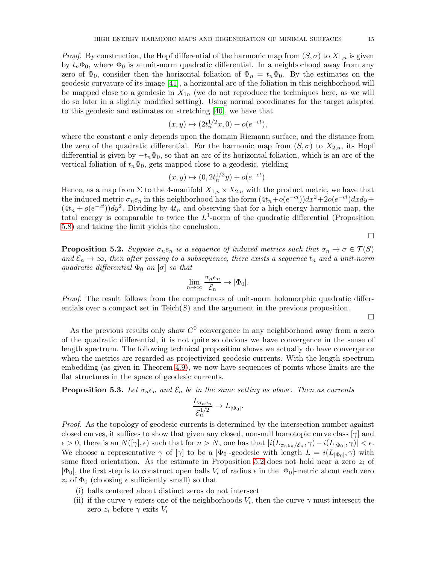*Proof.* By construction, the Hopf differential of the harmonic map from  $(S, \sigma)$  to  $X_{1,n}$  is given by  $t_n\Phi_0$ , where  $\Phi_0$  is a unit-norm quadratic differential. In a neighborhood away from any zero of  $\Phi_0$ , consider then the horizontal foliation of  $\Phi_n = t_n \Phi_0$ . By the estimates on the geodesic curvature of its image [\[41\]](#page-37-3), a horizontal arc of the foliation in this neighborhood will be mapped close to a geodesic in  $X_{1n}$  (we do not reproduce the techniques here, as we will do so later in a slightly modified setting). Using normal coordinates for the target adapted to this geodesic and estimates on stretching [\[40\]](#page-37-2), we have that

$$
(x, y) \mapsto (2t_n^{1/2}x, 0) + o(e^{-ct}),
$$

where the constant c only depends upon the domain Riemann surface, and the distance from the zero of the quadratic differential. For the harmonic map from  $(S, \sigma)$  to  $X_{2,n}$ , its Hopf differential is given by  $-t_n\Phi_0$ , so that an arc of its horizontal foliation, which is an arc of the vertical foliation of  $t_n\Phi_0$ , gets mapped close to a geodesic, yielding

$$
(x, y) \mapsto (0, 2t_n^{1/2}y) + o(e^{-ct}).
$$

Hence, as a map from  $\Sigma$  to the 4-manifold  $X_{1,n} \times X_{2,n}$  with the product metric, we have that the induced metric  $\sigma_n e_n$  in this neighborhood has the form  $(4t_n + o(e^{-ct}))dx^2 + 2o(e^{-ct})dx dy +$  $(4t_n + o(e^{-ct}))dy^2$ . Dividing by  $4t_n$  and observing that for a high energy harmonic map, the total energy is comparable to twice the  $L^1$ -norm of the quadratic differential (Proposition [5.8\)](#page-19-0) and taking the limit yields the conclusion.

<span id="page-14-0"></span>**Proposition 5.2.** Suppose  $\sigma_n e_n$  is a sequence of induced metrics such that  $\sigma_n \to \sigma \in \mathcal{T}(S)$ and  $\mathcal{E}_n \to \infty$ , then after passing to a subsequence, there exists a sequence  $t_n$  and a unit-norm quadratic differential  $\Phi_0$  on  $[\sigma]$  so that

$$
\lim_{n\to\infty}\frac{\sigma_ne_n}{\mathcal{E}_n}\to|\Phi_0|.
$$

Proof. The result follows from the compactness of unit-norm holomorphic quadratic differentials over a compact set in  $Teich(S)$  and the argument in the previous proposition.

 $\Box$ 

 $\Box$ 

As the previous results only show  $C^0$  convergence in any neighborhood away from a zero of the quadratic differential, it is not quite so obvious we have convergence in the sense of length spectrum. The following technical proposition shows we actually do have convergence when the metrics are regarded as projectivized geodesic currents. With the length spectrum embedding (as given in Theorem [4.9\)](#page-13-1), we now have sequences of points whose limits are the flat structures in the space of geodesic currents.

<span id="page-14-1"></span>**Proposition 5.3.** Let  $\sigma_n e_n$  and  $\mathcal{E}_n$  be in the same setting as above. Then as currents

$$
\frac{L_{\sigma_n e_n}}{\mathcal{E}_n^{1/2}} \to L_{|\Phi_0|}.
$$

Proof. As the topology of geodesic currents is determined by the intersection number against closed curves, it suffices to show that given any closed, non-null homotopic curve class  $[\gamma]$  and  $\epsilon > 0$ , there is an  $N([\gamma], \epsilon)$  such that for  $n > N$ , one has that  $|i(L_{\sigma_n e_n/\mathcal{E}_n}, \gamma) - i(L_{|\Phi_0|}, \gamma)| < \epsilon$ . We choose a representative  $\gamma$  of  $[\gamma]$  to be a  $[\Phi_0]$ -geodesic with length  $L = i(L_{|\Phi_0|}, \gamma)$  with some fixed orientation. As the estimate in Proposition [5.2](#page-14-0) does not hold near a zero  $z_i$  of  $|\Phi_0|$ , the first step is to construct open balls  $V_i$  of radius  $\epsilon$  in the  $|\Phi_0|$ -metric about each zero  $z_i$  of  $\Phi_0$  (choosing  $\epsilon$  sufficiently small) so that

- (i) balls centered about distinct zeros do not intersect
- (ii) if the curve  $\gamma$  enters one of the neighborhoods  $V_i$ , then the curve  $\gamma$  must intersect the zero  $z_i$  before  $\gamma$  exits  $V_i$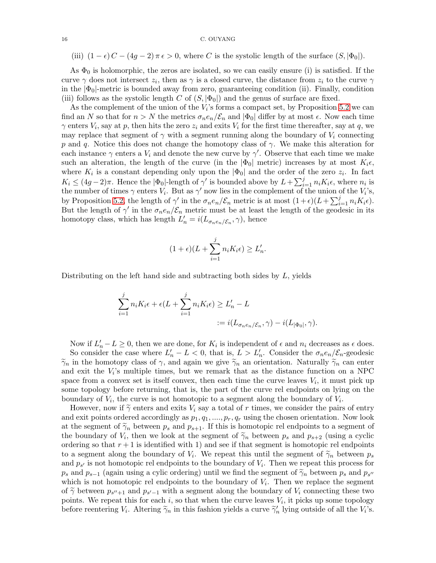(iii)  $(1 - \epsilon) C - (4q - 2) \pi \epsilon > 0$ , where C is the systolic length of the surface  $(S, |\Phi_0|)$ .

As  $\Phi_0$  is holomorphic, the zeros are isolated, so we can easily ensure (i) is satisfied. If the curve  $\gamma$  does not intersect  $z_i$ , then as  $\gamma$  is a closed curve, the distance from  $z_i$  to the curve  $\gamma$ in the  $|\Phi_0|$ -metric is bounded away from zero, guaranteeing condition (ii). Finally, condition (iii) follows as the systolic length C of  $(S, |\Phi_0|)$  and the genus of surface are fixed.

As the complement of the union of the  $V_i$ 's forms a compact set, by Proposition [5.2](#page-14-0) we can find an N so that for  $n > N$  the metrics  $\sigma_n e_n / \mathcal{E}_n$  and  $|\Phi_0|$  differ by at most  $\epsilon$ . Now each time  $\gamma$  enters  $V_i$ , say at p, then hits the zero  $z_i$  and exits  $V_i$  for the first time thereafter, say at q, we may replace that segment of  $\gamma$  with a segment running along the boundary of  $V_i$  connecting p and q. Notice this does not change the homotopy class of  $\gamma$ . We make this alteration for each instance  $\gamma$  enters a  $V_i$  and denote the new curve by  $\gamma'$ . Observe that each time we make such an alteration, the length of the curve (in the  $|\Phi_0|$  metric) increases by at most  $K_i\epsilon$ , where  $K_i$  is a constant depending only upon the  $|\Phi_0|$  and the order of the zero  $z_i$ . In fact  $K_i \leq (4g-2)\pi$ . Hence the  $|\Phi_0|$ -length of  $\gamma'$  is bounded above by  $L+\sum_{i=1}^j n_i K_i \epsilon$ , where  $n_i$  is the number of times  $\gamma$  enters  $V_i$ . But as  $\gamma'$  now lies in the complement of the union of the  $V_i$ 's, by Proposition [5.2,](#page-14-0) the length of  $\gamma'$  in the  $\sigma_n e_n/\mathcal{E}_n$  metric is at most  $(1+\epsilon)(L+\sum_{i=1}^j n_i K_i \epsilon)$ . But the length of  $\gamma'$  in the  $\sigma_n e_n/\mathcal{E}_n$  metric must be at least the length of the geodesic in its homotopy class, which has length  $L'_n = i(L_{\sigma_n e_n/\mathcal{E}_n}, \gamma)$ , hence

$$
(1+\epsilon)(L+\sum_{i=1}^{j}n_{i}K_{i}\epsilon)\geq L'_{n}.
$$

Distributing on the left hand side and subtracting both sides by L, yields

$$
\sum_{i=1}^{j} n_i K_i \epsilon + \epsilon (L + \sum_{i=1}^{j} n_i K_i \epsilon) \ge L'_n - L
$$
  

$$
:= i (L_{\sigma_n e_n / \mathcal{E}_n}, \gamma) - i (L_{|\Phi_0|}, \gamma).
$$

Now if  $L'_n - L \geq 0$ , then we are done, for  $K_i$  is independent of  $\epsilon$  and  $n_i$  decreases as  $\epsilon$  does. So consider the case where  $L'_n - L < 0$ , that is,  $L > L'_n$ . Consider the  $\sigma_n e_n / \mathcal{E}_n$ -geodesic  $\tilde{\gamma}_n$  in the homotopy class of  $\gamma$ , and again we give  $\tilde{\gamma}_n$  an orientation. Naturally  $\tilde{\gamma}_n$  can enter and exit the  $V_i$ 's multiple times, but we remark that as the distance function on a NPC space from a convex set is itself convex, then each time the curve leaves  $V_i$ , it must pick up some topology before returning, that is, the part of the curve rel endpoints on lying on the boundary of  $V_i$ , the curve is not homotopic to a segment along the boundary of  $V_i$ .

However, now if  $\tilde{\gamma}$  enters and exits  $V_i$  say a total of r times, we consider the pairs of entry and exit points ordered accordingly as  $p_1, q_1, ..., p_r, q_r$  using the chosen orientation. Now look at the segment of  $\tilde{\gamma}_n$  between  $p_s$  and  $p_{s+1}$ . If this is homotopic rel endpoints to a segment of the boundary of  $V_i$ , then we look at the segment of  $\tilde{\gamma}_n$  between  $p_s$  and  $p_{s+2}$  (using a cyclic ordering as that  $s+1$  is identified with 1) and see if that segment is have tonic relatively ordering so that  $r + 1$  is identified with 1) and see if that segment is homotopic rel endpoints to a segment along the boundary of  $V_i$ . We repeat this until the segment of  $\widetilde{\gamma}_n$  between  $p_s$ and  $p_{s'}$  is not homotopic rel endpoints to the boundary of  $V_i$ . Then we repeat this process for  $p_s$  and  $p_{s-1}$  (again using a cylic ordering) until we find the segment of  $\widetilde{\gamma}_n$  between  $p_s$  and  $p_{s'}$ which is not homotopic rel endpoints to the boundary of  $V_i$ . Then we replace the segment of  $\tilde{\gamma}$  between  $p_{s''+1}$  and  $p_{s'-1}$  with a segment along the boundary of  $V_i$  connecting these two points. We repeat this for each  $i$ , so that when the curve leaves  $V_i$ , it picks up some topology before reentering  $V_i$ . Altering  $\tilde{\gamma}_n$  in this fashion yields a curve  $\tilde{\gamma}'_n$  lying outside of all the  $V_i$ 's.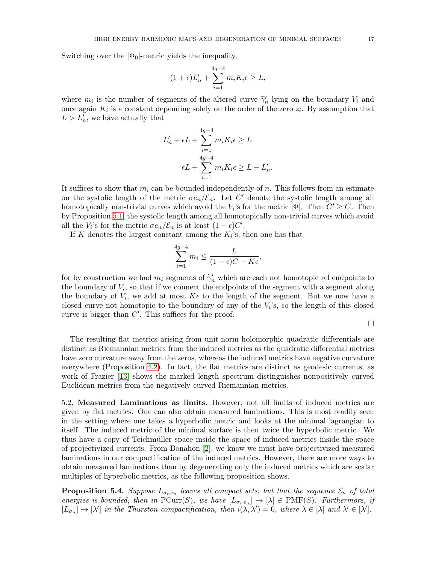Switching over the  $|\Phi_0|$ -metric yields the inequality,

$$
(1+\epsilon)L'_n + \sum_{i=1}^{4g-4} m_i K_i \epsilon \ge L,
$$

where  $m_i$  is the number of segments of the altered curve  $\tilde{\gamma}'_n$  lying on the boundary  $V_i$  and once again  $K_i$  is a constant depending solely on the order of the zero  $z_i$ . By assumption that  $L > L'_n$ , we have actually that

$$
L'_{n} + \epsilon L + \sum_{i=1}^{4g-4} m_{i} K_{i} \epsilon \ge L
$$

$$
\epsilon L + \sum_{i=1}^{4g-4} m_{i} K_{i} \epsilon \ge L - L'_{n}
$$

.

It suffices to show that  $m_i$  can be bounded independently of n. This follows from an estimate on the systolic length of the metric  $\sigma e_n/\mathcal{E}_n$ . Let C' denote the systolic length among all homotopically non-trivial curves which avoid the  $V_i$ 's for the metric  $|\Phi|$ . Then  $C' \geq C$ . Then by Proposition [5.1,](#page-13-2) the systolic length among all homotopically non-trivial curves which avoid all the  $V_i$ 's for the metric  $\sigma e_n/\mathcal{E}_n$  is at least  $(1-\epsilon)C'$ .

If K denotes the largest constant among the  $K_i$ 's, then one has that

$$
\sum_{i=1}^{4g-4} m_i \le \frac{L}{(1-\epsilon)C - K\epsilon},
$$

for by construction we had  $m_i$  segments of  $\tilde{\gamma}'_n$  which are each not homotopic rel endpoints to<br>the homotopy of  $V$  as that if we connect the undersity of the connect with a compact clause the boundary of  $V_i$ , so that if we connect the endpoints of the segment with a segment along the boundary of  $V_i$ , we add at most  $K\epsilon$  to the length of the segment. But we now have a closed curve not homotopic to the boundary of any of the  $V_i$ 's, so the length of this closed curve is bigger than  $C'$ . This suffices for the proof.

 $\Box$ 

The resulting flat metrics arising from unit-norm holomorphic quadratic differentials are distinct as Riemannian metrics from the induced metrics as the quadratic differential metrics have zero curvature away from the zeros, whereas the induced metrics have negative curvature everywhere (Proposition [4.2\)](#page-9-0). In fact, the flat metrics are distinct as geodesic currents, as work of Frazier [\[13\]](#page-36-17) shows the marked length spectrum distinguishes nonpositively curved Euclidean metrics from the negatively curved Riemannian metrics.

5.2. Measured Laminations as limits. However, not all limits of induced metrics are given by flat metrics. One can also obtain measured laminations. This is most readily seen in the setting where one takes a hyperbolic metric and looks at the minimal lagrangian to itself. The induced metric of the minimal surface is then twice the hyperbolic metric. We thus have a copy of Teichmüller space inside the space of induced metrics inside the space of projectivized currents. From Bonahon [\[2\]](#page-35-2), we know we must have projectivized measured laminations in our compactification of the induced metrics. However, there are more ways to obtain measured laminations than by degenerating only the induced metrics which are scalar multiples of hyperbolic metrics, as the following proposition shows.

**Proposition 5.4.** Suppose  $L_{\sigma_n e_n}$  leaves all compact sets, but that the sequence  $\mathcal{E}_n$  of total energies is bounded, then in  $\text{PCur}(S)$ , we have  $[L_{\sigma_n e_n}] \to [\lambda] \in \text{PMF}(S)$ . Furthermore, if  $[L_{\sigma_n}] \to [\lambda']$  in the Thurston compactification, then  $i(\lambda, \lambda') = 0$ , where  $\lambda \in [\lambda]$  and  $\lambda' \in [\lambda']$ .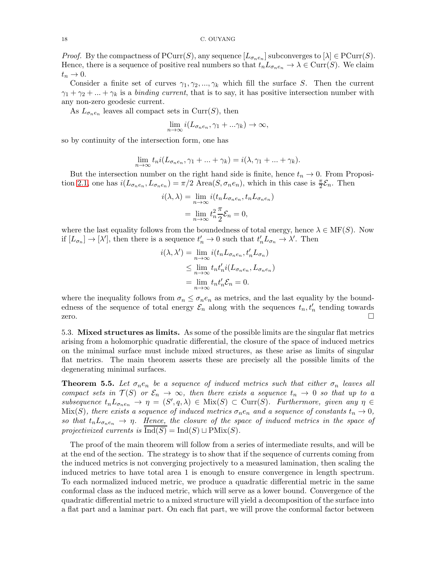*Proof.* By the compactness of  $\text{PCurr}(S)$ , any sequence  $[L_{\sigma_n e_n}]$  subconverges to  $[\lambda] \in \text{PCurr}(S)$ . Hence, there is a sequence of positive real numbers so that  $t_nL_{\sigma_n e_n} \to \lambda \in \text{Curr}(S)$ . We claim  $t_n \to 0$ .

Consider a finite set of curves  $\gamma_1, \gamma_2, ..., \gamma_k$  which fill the surface S. Then the current  $\gamma_1 + \gamma_2 + ... + \gamma_k$  is a *binding current*, that is to say, it has positive intersection number with any non-zero geodesic current.

As  $L_{\sigma_n e_n}$  leaves all compact sets in  $Curr(S)$ , then

$$
\lim_{n \to \infty} i(L_{\sigma_n e_n}, \gamma_1 + \ldots \gamma_k) \to \infty,
$$

so by continuity of the intersection form, one has

$$
\lim_{n \to \infty} t_n i(L_{\sigma_n e_n}, \gamma_1 + \dots + \gamma_k) = i(\lambda, \gamma_1 + \dots + \gamma_k).
$$

But the intersection number on the right hand side is finite, hence  $t_n \to 0$ . From Proposi-tion [2.1,](#page-5-0) one has  $i(L_{\sigma_n e_n}, L_{\sigma_n e_n}) = \pi/2$  Area $(S, \sigma_n e_n)$ , which in this case is  $\frac{\pi}{2} \mathcal{E}_n$ . Then

$$
i(\lambda, \lambda) = \lim_{n \to \infty} i(t_n L_{\sigma_n e_n}, t_n L_{\sigma_n e_n})
$$

$$
= \lim_{n \to \infty} t_n^2 \frac{\pi}{2} \mathcal{E}_n = 0,
$$

where the last equality follows from the boundedness of total energy, hence  $\lambda \in \text{MF}(S)$ . Now if  $[L_{\sigma_n}] \to [\lambda'],$  then there is a sequence  $t'_n \to 0$  such that  $t'_n L_{\sigma_n} \to \lambda'.$  Then

$$
i(\lambda, \lambda') = \lim_{n \to \infty} i(t_n L_{\sigma_n e_n}, t'_n L_{\sigma_n})
$$
  
\n
$$
\leq \lim_{n \to \infty} t_n t'_n i(L_{\sigma_n e_n}, L_{\sigma_n e_n})
$$
  
\n
$$
= \lim_{n \to \infty} t_n t'_n \mathcal{E}_n = 0.
$$

where the inequality follows from  $\sigma_n \leq \sigma_n e_n$  as metrics, and the last equality by the boundedness of the sequence of total energy  $\mathcal{E}_n$  along with the sequences  $t_n, t'_n$  tending towards zero.  $\Box$ 

5.3. Mixed structures as limits. As some of the possible limits are the singular flat metrics arising from a holomorphic quadratic differential, the closure of the space of induced metrics on the minimal surface must include mixed structures, as these arise as limits of singular flat metrics. The main theorem asserts these are precisely all the possible limits of the degenerating minimal surfaces.

<span id="page-17-0"></span>**Theorem 5.5.** Let  $\sigma_n e_n$  be a sequence of induced metrics such that either  $\sigma_n$  leaves all compact sets in  $\mathcal{T}(S)$  or  $\mathcal{E}_n \to \infty$ , then there exists a sequence  $t_n \to 0$  so that up to a  $subsequence t_n L_{\sigma_n e_n} \to \eta = (S', q, \lambda) \in \text{Mix}(S) \subset \text{Curr}(S)$ . Furthermore, given any  $\eta \in$ Mix(S), there exists a sequence of induced metrics  $\sigma_n e_n$  and a sequence of constants  $t_n \to 0$ , so that  $t_n L_{\sigma_n e_n} \to \eta$ . Hence, the closure of the space of induced metrics in the space of projectivized currents is  $\overline{Ind(S)} = Ind(S) \sqcup PMix(S)$ .

The proof of the main theorem will follow from a series of intermediate results, and will be at the end of the section. The strategy is to show that if the sequence of currents coming from the induced metrics is not converging projectively to a measured lamination, then scaling the induced metrics to have total area 1 is enough to ensure convergence in length spectrum. To each normalized induced metric, we produce a quadratic differential metric in the same conformal class as the induced metric, which will serve as a lower bound. Convergence of the quadratic differential metric to a mixed structure will yield a decomposition of the surface into a flat part and a laminar part. On each flat part, we will prove the conformal factor between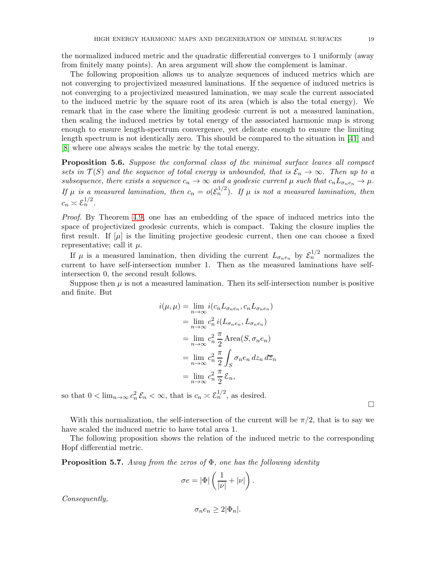the normalized induced metric and the quadratic differential converges to 1 uniformly (away from finitely many points). An area argument will show the complement is laminar.

The following proposition allows us to analyze sequences of induced metrics which are not converging to projectivized measured laminations. If the sequence of induced metrics is not converging to a projectivized measured lamination, we may scale the current associated to the induced metric by the square root of its area (which is also the total energy). We remark that in the case where the limiting geodesic current is not a measured lamination, then scaling the induced metrics by total energy of the associated harmonic map is strong enough to ensure length-spectrum convergence, yet delicate enough to ensure the limiting length spectrum is not identically zero. This should be compared to the situation in [\[41\]](#page-37-3) and [\[8\]](#page-36-18) where one always scales the metric by the total energy.

<span id="page-18-1"></span>Proposition 5.6. Suppose the conformal class of the minimal surface leaves all compact sets in  $\mathcal{T}(S)$  and the sequence of total energy is unbounded, that is  $\mathcal{E}_n \to \infty$ . Then up to a subsequence, there exists a sequence  $c_n \to \infty$  and a geodesic current  $\mu$  such that  $c_n L_{\sigma_n e_n} \to \mu$ . If  $\mu$  is a measured lamination, then  $c_n = o(\mathcal{E}_n^{1/2})$ . If  $\mu$  is not a measured lamination, then  $c_n \asymp \mathcal{E}_n^{1/2}.$ 

Proof. By Theorem [4.9,](#page-13-1) one has an embedding of the space of induced metrics into the space of projectivized geodesic currents, which is compact. Taking the closure implies the first result. If  $[\mu]$  is the limiting projective geodesic current, then one can choose a fixed representative; call it  $\mu$ .

If  $\mu$  is a measured lamination, then dividing the current  $L_{\sigma_n e_n}$  by  $\mathcal{E}_n^{1/2}$  normalizes the current to have self-intersection number 1. Then as the measured laminations have selfintersection 0, the second result follows.

Suppose then  $\mu$  is not a measured lamination. Then its self-intersection number is positive and finite. But

$$
i(\mu, \mu) = \lim_{n \to \infty} i(c_n L_{\sigma_n e_n}, c_n L_{\sigma_n e_n})
$$
  
= 
$$
\lim_{n \to \infty} c_n^2 i(L_{\sigma_n e_n}, L_{\sigma_n e_n})
$$
  
= 
$$
\lim_{n \to \infty} c_n^2 \frac{\pi}{2} \text{Area}(S, \sigma_n e_n)
$$
  
= 
$$
\lim_{n \to \infty} c_n^2 \frac{\pi}{2} \int_S \sigma_n e_n dz_n d\overline{z}_n
$$
  
= 
$$
\lim_{n \to \infty} c_n^2 \frac{\pi}{2} \mathcal{E}_n,
$$

so that  $0 < \lim_{n \to \infty} c_n^2 \mathcal{E}_n < \infty$ , that is  $c_n \asymp \mathcal{E}_n^{1/2}$ , as desired.

With this normalization, the self-intersection of the current will be  $\pi/2$ , that is to say we have scaled the induced metric to have total area 1.

The following proposition shows the relation of the induced metric to the corresponding Hopf differential metric.

<span id="page-18-0"></span>**Proposition 5.7.** Away from the zeros of  $\Phi$ , one has the following identity

$$
\sigma e = |\Phi| \left( \frac{1}{|\nu|} + |\nu| \right).
$$

Consequently,

$$
\sigma_n e_n \geq 2|\Phi_n|.
$$

 $\Box$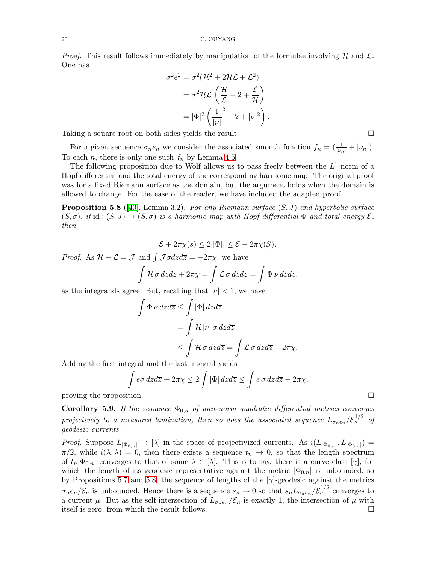*Proof.* This result follows immediately by manipulation of the formulae involving  $H$  and  $L$ . One has

$$
\sigma^2 e^2 = \sigma^2 (\mathcal{H}^2 + 2\mathcal{H}\mathcal{L} + \mathcal{L}^2)
$$

$$
= \sigma^2 \mathcal{H}\mathcal{L} \left(\frac{\mathcal{H}}{\mathcal{L}} + 2 + \frac{\mathcal{L}}{\mathcal{H}}\right)
$$

$$
= |\Phi|^2 \left(\frac{1}{|\nu|}^2 + 2 + |\nu|^2\right).
$$

Taking a square root on both sides yields the result.

For a given sequence  $\sigma_n e_n$  we consider the associated smooth function  $f_n = \left(\frac{1}{|\nu_n|} + |\nu_n|\right)$ . To each *n*, there is only one such  $f_n$  by Lemma [4.5.](#page-11-1)

The following proposition due to Wolf allows us to pass freely between the  $L^1$ -norm of a Hopf differential and the total energy of the corresponding harmonic map. The original proof was for a fixed Riemann surface as the domain, but the argument holds when the domain is allowed to change. For the ease of the reader, we have included the adapted proof.

<span id="page-19-0"></span>**Proposition 5.8** ([\[40\]](#page-37-2), Lemma 3.2). For any Riemann surface  $(S, J)$  and hyperbolic surface  $(S, \sigma)$ , if id:  $(S, J) \rightarrow (S, \sigma)$  is a harmonic map with Hopf differential  $\Phi$  and total energy  $\mathcal{E}$ , then

$$
\mathcal{E} + 2\pi \chi(s) \le 2||\Phi|| \le \mathcal{E} - 2\pi \chi(S).
$$

*Proof.* As  $\mathcal{H} - \mathcal{L} = \mathcal{J}$  and  $\int \mathcal{J} \sigma dz d\overline{z} = -2\pi \chi$ , we have

$$
\int \mathcal{H} \sigma \, dz \, d\overline{z} + 2\pi \chi = \int \mathcal{L} \sigma \, dz \, d\overline{z} = \int \Phi \, \nu \, dz \, d\overline{z},
$$

as the integrands agree. But, recalling that  $|\nu| < 1$ , we have

$$
\int \Phi \nu \, dz \, d\overline{z} \le \int |\Phi| \, dz \, d\overline{z}
$$
\n
$$
= \int \mathcal{H} |\nu| \, \sigma \, dz \, d\overline{z}
$$
\n
$$
\le \int \mathcal{H} \, \sigma \, dz \, d\overline{z} = \int \mathcal{L} \, \sigma \, dz \, d\overline{z} - 2\pi \chi.
$$

Adding the first integral and the last integral yields

$$
\int e\sigma dz d\overline{z} + 2\pi \chi \le 2 \int |\Phi| dz d\overline{z} \le \int e\sigma dz d\overline{z} - 2\pi \chi,
$$

proving the proposition.  $\Box$ 

**Corollary 5.9.** If the sequence  $\Phi_{0,n}$  of unit-norm quadratic differential metrics converges projectively to a measured lamination, then so does the associated sequence  $L_{\sigma_n e_n}/{\mathcal{E}_n}^{1/2}$  of geodesic currents.

*Proof.* Suppose  $L_{\vert \Phi_{0,n} \vert} \to [\lambda]$  in the space of projectivized currents. As  $i(L_{\vert \Phi_{0,n} \vert}, L_{\vert \Phi_{0,n} \vert}) =$  $\pi/2$ , while  $i(\lambda, \lambda) = 0$ , then there exists a sequence  $t_n \to 0$ , so that the length spectrum of  $t_n|\Phi_{0,n}|$  converges to that of some  $\lambda \in [\lambda]$ . This is to say, there is a curve class  $[\gamma]$ , for which the length of its geodesic representative against the metric  $|\Phi_{0,n}|$  is unbounded, so by Propositions [5.7](#page-18-0) and [5.8,](#page-19-0) the sequence of lengths of the  $[\gamma]$ -geodesic against the metrics  $\sigma_n e_n/\mathcal{E}_n$  is unbounded. Hence there is a sequence  $s_n \to 0$  so that  $s_n L_{\sigma_n e_n}/\mathcal{E}_n^{1/2}$  converges to a current  $\mu$ . But as the self-intersection of  $L_{\sigma_n e_n}/\mathcal{E}_n$  is exactly 1, the intersection of  $\mu$  with itself is zero, from which the result follows. itself is zero, from which the result follows.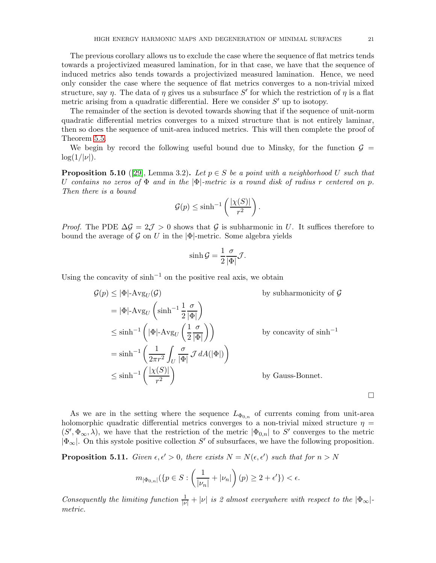The previous corollary allows us to exclude the case where the sequence of flat metrics tends towards a projectivized measured lamination, for in that case, we have that the sequence of induced metrics also tends towards a projectivized measured lamination. Hence, we need only consider the case where the sequence of flat metrics converges to a non-trivial mixed structure, say  $\eta$ . The data of  $\eta$  gives us a subsurface S' for which the restriction of  $\eta$  is a flat metric arising from a quadratic differential. Here we consider  $S'$  up to isotopy.

The remainder of the section is devoted towards showing that if the sequence of unit-norm quadratic differential metrics converges to a mixed structure that is not entirely laminar, then so does the sequence of unit-area induced metrics. This will then complete the proof of Theorem [5.5.](#page-17-0)

We begin by record the following useful bound due to Minsky, for the function  $\mathcal{G} =$  $\log(1/|\nu|)$ .

<span id="page-20-0"></span>**Proposition 5.10** ([\[29\]](#page-36-19), Lemma 3.2). Let  $p \in S$  be a point with a neighborhood U such that U contains no zeros of  $\Phi$  and in the  $|\Phi|$ -metric is a round disk of radius r centered on p. Then there is a bound

$$
\mathcal{G}(p) \le \sinh^{-1}\left(\frac{|\chi(S)|}{r^2}\right).
$$

*Proof.* The PDE  $\Delta \mathcal{G} = 2\mathcal{J} > 0$  shows that  $\mathcal{G}$  is subharmonic in U. It suffices therefore to bound the average of  $\mathcal G$  on U in the  $|\Phi|$ -metric. Some algebra yields

$$
\sinh \mathcal{G} = \frac{1}{2} \frac{\sigma}{|\Phi|} \mathcal{J}.
$$

Using the concavity of  $\sinh^{-1}$  on the positive real axis, we obtain

$$
G(p) \leq |\Phi| - \text{Avg}_U(\mathcal{G})
$$
 by subharmonicity of  $\mathcal{G}$   
\n
$$
= |\Phi| - \text{Avg}_U \left(\sinh^{-1} \frac{1}{2} \frac{\sigma}{|\Phi|}\right)
$$
  
\n
$$
\leq \sinh^{-1} \left(|\Phi| - \text{Avg}_U \left(\frac{1}{2} \frac{\sigma}{|\Phi|}\right)\right)
$$
 by concavity of sinh<sup>-1</sup>  
\n
$$
= \sinh^{-1} \left(\frac{1}{2\pi r^2} \int_U \frac{\sigma}{|\Phi|} \mathcal{J} dA(|\Phi|)\right)
$$
  
\n
$$
\leq \sinh^{-1} \left(\frac{|\chi(S)|}{r^2}\right)
$$
 by Gauss-Bonnet.

 $\Box$ 

As we are in the setting where the sequence  $L_{\Phi_{0,n}}$  of currents coming from unit-area holomorphic quadratic differential metrics converges to a non-trivial mixed structure  $\eta =$  $(S', \Phi_{\infty}, \lambda)$ , we have that the restriction of the metric  $|\Phi_{0,n}|$  to S' converges to the metric  $|\Phi_{\infty}|$ . On this systole positive collection  $S'$  of subsurfaces, we have the following proposition.

<span id="page-20-1"></span>**Proposition 5.11.** Given  $\epsilon, \epsilon' > 0$ , there exists  $N = N(\epsilon, \epsilon')$  such that for  $n > N$ 

$$
m_{|\Phi_{0,n}|}(\{p\in S:\left(\frac{1}{|\nu_n|}+|\nu_n|\right)(p)\geq 2+\epsilon'\})<\epsilon.
$$

Consequently the limiting function  $\frac{1}{|\nu|} + |\nu|$  is 2 almost everywhere with respect to the  $|\Phi_{\infty}|$ . metric.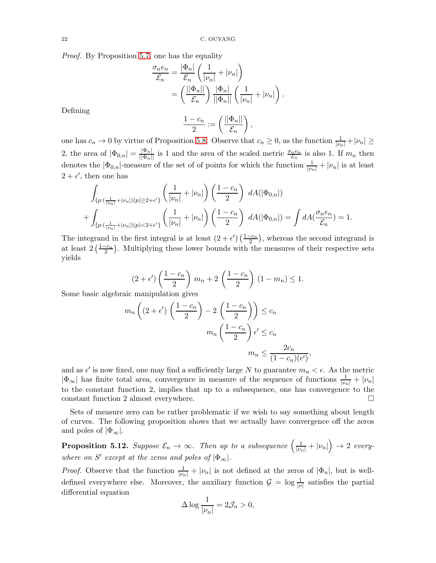Proof. By Proposition [5.7,](#page-18-0) one has the equality

$$
\frac{\sigma_n e_n}{\mathcal{E}_n} = \frac{|\Phi_n|}{\mathcal{E}_n} \left( \frac{1}{|\nu_n|} + |\nu_n| \right)
$$

$$
= \left( \frac{||\Phi_n||}{\mathcal{E}_n} \right) \frac{|\Phi_n|}{||\Phi_n||} \left( \frac{1}{|\nu_n|} + |\nu_n| \right).
$$

Defining

$$
\frac{1-c_n}{2} := \left(\frac{||\Phi_n||}{\mathcal{E}_n}\right),\,
$$

one has  $c_n \to 0$  by virtue of Proposition [5.8.](#page-19-0) Observe that  $c_n \geq 0$ , as the function  $\frac{1}{|\nu_n|} + |\nu_n| \geq$ 2, the area of  $|\Phi_{0,n}| = \frac{|\Phi_n|}{||\Phi_n||}$  is 1 and the area of the scaled metric  $\frac{\sigma_n e_n}{\mathcal{E}_n}$  is also 1. If  $m_n$  then denotes the  $|\Phi_{0,n}|$ -measure of the set of of points for which the function  $\frac{1}{|\nu_n|} + |\nu_n|$  is at least  $2 + \epsilon'$ , then one has

$$
\int_{\{p: (\frac{1}{|\nu_n|} + |\nu_n|)(p) \ge 2 + \epsilon'\}} \left(\frac{1}{|\nu_n|} + |\nu_n|\right) \left(\frac{1 - c_n}{2}\right) dA(|\Phi_{0,n}|) + \int_{\{p: (\frac{1}{|\nu_n|} + |\nu_n|)(p) < 2 + \epsilon'\}} \left(\frac{1}{|\nu_n|} + |\nu_n|\right) \left(\frac{1 - c_n}{2}\right) dA(|\Phi_{0,n}|) = \int dA(\frac{\sigma_n e_n}{\mathcal{E}_n}) = 1.
$$

The integrand in the first integral is at least  $(2 + \epsilon') \left(\frac{1 - c_n}{2}\right)$ , whereas the second integrand is at least  $2\left(\frac{1-c_n}{2}\right)$ . Multiplying these lower bounds with the measures of their respective sets yields

$$
(2 + \epsilon')\left(\frac{1 - c_n}{2}\right)m_n + 2\left(\frac{1 - c_n}{2}\right)(1 - m_n) \le 1.
$$

Some basic algebraic manipulation gives

$$
m_n\left((2+\epsilon')\left(\frac{1-c_n}{2}\right)-2\left(\frac{1-c_n}{2}\right)\right) \le c_n
$$

$$
m_n\left(\frac{1-c_n}{2}\right)\epsilon' \le c_n
$$

$$
m_n \le \frac{2c_n}{(1-c_n)(\epsilon')},
$$

and as  $\epsilon'$  is now fixed, one may find a sufficiently large N to guarantee  $m_n < \epsilon$ . As the metric  $|\Phi_{\infty}|$  has finite total area, convergence in measure of the sequence of functions  $\frac{1}{|\nu_n|} + |\nu_n|$ to the constant function 2, implies that up to a subsequence, one has convergence to the constant function 2 almost everywhere.  $\Box$ 

Sets of measure zero can be rather problematic if we wish to say something about length of curves. The following proposition shows that we actually have convergence off the zeros and poles of  $|\Phi_{\infty}|$ .

<span id="page-21-0"></span>**Proposition 5.12.** Suppose  $\mathcal{E}_n \to \infty$ . Then up to a subsequence  $\left(\frac{1}{|\nu_n|} + |\nu_n|\right) \to 2$  everywhere on S' except at the zeros and poles of  $|\Phi_{\infty}|$ .

*Proof.* Observe that the function  $\frac{1}{|\nu_n|} + |\nu_n|$  is not defined at the zeros of  $|\Phi_n|$ , but is welldefined everywhere else. Moreover, the auxiliary function  $\mathcal{G} = \log \frac{1}{|\nu|}$  satisfies the partial differential equation

$$
\Delta \log \frac{1}{|\nu_n|} = 2\mathcal{J}_n > 0,
$$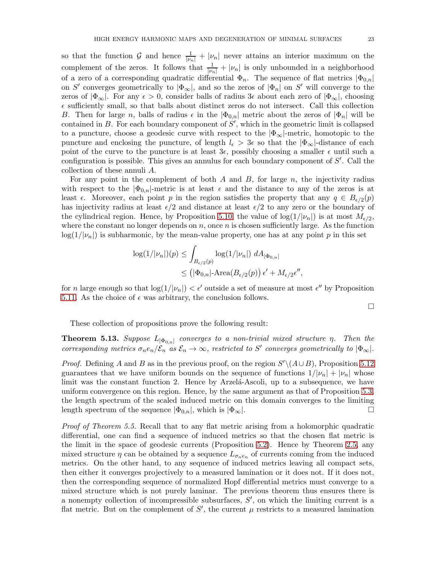so that the function G and hence  $\frac{1}{|\nu_n|} + |\nu_n|$  never attains an interior maximum on the complement of the zeros. It follows that  $\frac{1}{|\nu_n|} + |\nu_n|$  is only unbounded in a neighborhood of a zero of a corresponding quadratic differential  $\Phi_n$ . The sequence of flat metrics  $|\Phi_{0,n}|$ on S' converges geometrically to  $|\Phi_{\infty}|$ , and so the zeros of  $|\Phi_n|$  on S' will converge to the zeros of  $|\Phi_{\infty}|$ . For any  $\epsilon > 0$ , consider balls of radius 3 $\epsilon$  about each zero of  $|\Phi_{\infty}|$ , choosing  $\epsilon$  sufficiently small, so that balls about distinct zeros do not intersect. Call this collection B. Then for large n, balls of radius  $\epsilon$  in the  $|\Phi_{0,n}|$  metric about the zeros of  $|\Phi_n|$  will be contained in  $B$ . For each boundary component of  $S'$ , which in the geometric limit is collapsed to a puncture, choose a geodesic curve with respect to the  $|\Phi_{\infty}|$ -metric, homotopic to the puncture and enclosing the puncture, of length  $l_{\epsilon} > 3\epsilon$  so that the  $|\Phi_{\infty}|$ -distance of each point of the curve to the puncture is at least  $3\epsilon$ , possibly choosing a smaller  $\epsilon$  until such a configuration is possible. This gives an annulus for each boundary component of S'. Call the collection of these annuli A.

For any point in the complement of both  $A$  and  $B$ , for large  $n$ , the injectivity radius with respect to the  $|\Phi_{0,n}|$ -metric is at least  $\epsilon$  and the distance to any of the zeros is at least  $\epsilon$ . Moreover, each point p in the region satisfies the property that any  $q \in B_{\epsilon/2}(p)$ has injectivity radius at least  $\epsilon/2$  and distance at least  $\epsilon/2$  to any zero or the boundary of the cylindrical region. Hence, by Proposition 5.[10,](#page-20-0) the value of  $log(1/|\nu_n|)$  is at most  $M_{\epsilon/2}$ , where the constant no longer depends on  $n$ , once  $n$  is chosen sufficiently large. As the function  $log(1/|\nu_n|)$  is subharmonic, by the mean-value property, one has at any point p in this set

$$
\log(1/|\nu_n|)(p) \le \int_{B_{\epsilon/2}(p)} \log(1/|\nu_n|) dA_{|\Phi_{0,n}|}
$$
  

$$
\le (|\Phi_{0,n}| - \text{Area}(B_{\epsilon/2}(p)) \epsilon' + M_{\epsilon/2}\epsilon'',
$$

for *n* large enough so that  $\log(1/|\nu_n|) < \epsilon'$  outside a set of measure at most  $\epsilon''$  by Proposition [5.11.](#page-20-1) As the choice of  $\epsilon$  was arbitrary, the conclusion follows.

 $\Box$ 

These collection of propositions prove the following result:

<span id="page-22-0"></span>**Theorem 5.13.** Suppose  $L_{|\Phi_{0,n}|}$  converges to a non-trivial mixed structure  $\eta$ . Then the corresponding metrics  $\sigma_n e_n/\mathcal{E}_n$  as  $\mathcal{E}_n \to \infty$ , restricted to S' converges geometrically to  $|\Phi_{\infty}|$ .

*Proof.* Defining A and B as in the previous proof, on the region  $S' \setminus (A \cup B)$ , Proposition [5.12](#page-21-0) guarantees that we have uniform bounds on the sequence of functions  $1/|\nu_n| + |\nu_n|$  whose limit was the constant function 2. Hence by Arzela-Ascoli, up to a subsequence, we have uniform convergence on this region. Hence, by the same argument as that of Proposition [5.3,](#page-14-1) the length spectrum of the scaled induced metric on this domain converges to the limiting length spectrum of the sequence  $|\Phi_{0,n}|$ , which is  $|\Phi_{\infty}|$ .

Proof of Theorem 5.5. Recall that to any flat metric arising from a holomorphic quadratic differential, one can find a sequence of induced metrics so that the chosen flat metric is the limit in the space of geodesic currents (Proposition [5.2\)](#page-14-0). Hence by Theorem [2.5,](#page-6-0) any mixed structure  $\eta$  can be obtained by a sequence  $L_{\sigma_n e_n}$  of currents coming from the induced metrics. On the other hand, to any sequence of induced metrics leaving all compact sets, then either it converges projectively to a measured lamination or it does not. If it does not, then the corresponding sequence of normalized Hopf differential metrics must converge to a mixed structure which is not purely laminar. The previous theorem thus ensures there is a nonempty collection of incompressible subsurfaces,  $S'$ , on which the limiting current is a flat metric. But on the complement of  $S'$ , the current  $\mu$  restricts to a measured lamination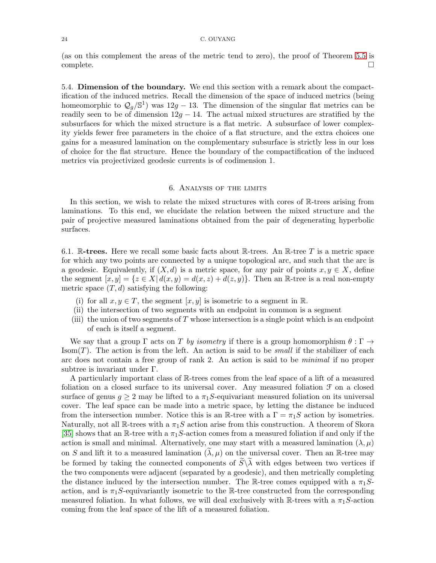(as on this complement the areas of the metric tend to zero), the proof of Theorem [5.5](#page-17-0) is  $\Box$ complete.  $\Box$ 

5.4. Dimension of the boundary. We end this section with a remark about the compactification of the induced metrics. Recall the dimension of the space of induced metrics (being homeomorphic to  $Q_g/\mathbb{S}^1$ ) was  $12g - 13$ . The dimension of the singular flat metrics can be readily seen to be of dimension  $12g - 14$ . The actual mixed structures are stratified by the subsurfaces for which the mixed structure is a flat metric. A subsurface of lower complexity yields fewer free parameters in the choice of a flat structure, and the extra choices one gains for a measured lamination on the complementary subsurface is strictly less in our loss of choice for the flat structure. Hence the boundary of the compactification of the induced metrics via projectivized geodesic currents is of codimension 1.

## 6. Analysis of the limits

<span id="page-23-0"></span>In this section, we wish to relate the mixed structures with cores of R-trees arising from laminations. To this end, we elucidate the relation between the mixed structure and the pair of projective measured laminations obtained from the pair of degenerating hyperbolic surfaces.

6.1. R-trees. Here we recall some basic facts about R-trees. An R-tree T is a metric space for which any two points are connected by a unique topological arc, and such that the arc is a geodesic. Equivalently, if  $(X, d)$  is a metric space, for any pair of points  $x, y \in X$ , define the segment  $[x, y] = \{z \in X | d(x, y) = d(x, z) + d(z, y)\}\.$  Then an R-tree is a real non-empty metric space  $(T, d)$  satisfying the following:

- (i) for all  $x, y \in T$ , the segment  $[x, y]$  is isometric to a segment in  $\mathbb{R}$ .
- (ii) the intersection of two segments with an endpoint in common is a segment
- (iii) the union of two segments of  $T$  whose intersection is a single point which is an endpoint of each is itself a segment.

We say that a group  $\Gamma$  acts on T by isometry if there is a group homomorphism  $\theta : \Gamma \to$ Isom $(T)$ . The action is from the left. An action is said to be *small* if the stabilizer of each arc does not contain a free group of rank 2. An action is said to be minimal if no proper subtree is invariant under Γ.

A particularly important class of R-trees comes from the leaf space of a lift of a measured foliation on a closed surface to its universal cover. Any measured foliation  $\mathcal F$  on a closed surface of genus  $g \geq 2$  may be lifted to a  $\pi_1 S$ -equivariant measured foliation on its universal cover. The leaf space can be made into a metric space, by letting the distance be induced from the intersection number. Notice this is an R-tree with a  $\Gamma = \pi_1 S$  action by isometries. Naturally, not all  $\mathbb{R}$ -trees with a  $\pi_1 S$  action arise from this construction. A theorem of Skora [\[35\]](#page-36-20) shows that an R-tree with a  $\pi_1 S$ -action comes from a measured foliation if and only if the action is small and minimal. Alternatively, one may start with a measured lamination  $(\lambda, \mu)$ on S and lift it to a measured lamination  $(\lambda, \mu)$  on the universal cover. Then an R-tree may be formed by taking the connected components of  $\widetilde{S}\backslash\widetilde{\lambda}$  with edges between two vertices if the two components were adjacent (separated by a geodesic), and then metrically completing the distance induced by the intersection number. The R-tree comes equipped with a  $\pi_1 S$ action, and is  $\pi_1 S$ -equivariantly isometric to the R-tree constructed from the corresponding measured foliation. In what follows, we will deal exclusively with R-trees with a  $\pi_1S$ -action coming from the leaf space of the lift of a measured foliation.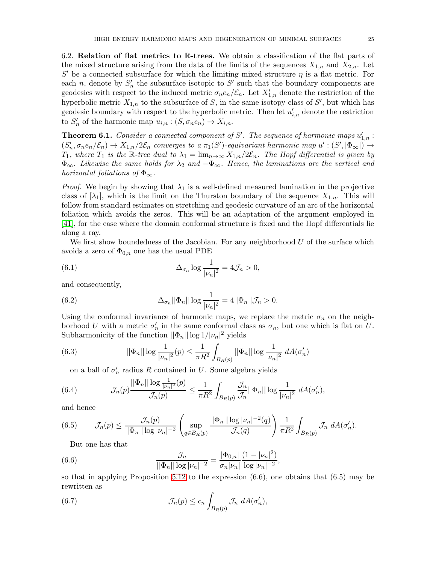6.2. Relation of flat metrics to R-trees. We obtain a classification of the flat parts of the mixed structure arising from the data of the limits of the sequences  $X_{1,n}$  and  $X_{2,n}$ . Let  $S'$  be a connected subsurface for which the limiting mixed structure  $\eta$  is a flat metric. For each n, denote by  $S'_n$  the subsurface isotopic to  $S'$  such that the boundary components are geodesics with respect to the induced metric  $\sigma_n e_n/\mathcal{E}_n$ . Let  $X'_{1,n}$  denote the restriction of the hyperbolic metric  $X_{1,n}$  to the subsurface of S, in the same isotopy class of S', but which has geodesic boundary with respect to the hyperbolic metric. Then let  $u'_{i,n}$  denote the restriction to  $S'_n$  of the harmonic map  $u_{i,n} : (S, \sigma_n e_n) \to X_{i,n}$ .

<span id="page-24-0"></span>**Theorem 6.1.** Consider a connected component of S'. The sequence of harmonic maps  $u'_{1,n}$ :  $(S'_n, \sigma_n e_n/\mathcal{E}_n) \to X_{1,n}/2\mathcal{E}_n$  converges to a  $\pi_1(S')$ -equivariant harmonic map  $u': (S', |\Phi_{\infty}|) \to$  $T_1$ , where  $T_1$  is the R-tree dual to  $\lambda_1 = \lim_{n \to \infty} X_{1,n}/2\mathcal{E}_n$ . The Hopf differential is given by  $\Phi_{\infty}$ . Likewise the same holds for  $\lambda_2$  and  $-\Phi_{\infty}$ . Hence, the laminations are the vertical and horizontal foliations of  $\Phi_{\infty}$ .

*Proof.* We begin by showing that  $\lambda_1$  is a well-defined measured lamination in the projective class of  $[\lambda_1]$ , which is the limit on the Thurston boundary of the sequence  $X_{1,n}$ . This will follow from standard estimates on stretching and geodesic curvature of an arc of the horizontal foliation which avoids the zeros. This will be an adaptation of the argument employed in [\[41\]](#page-37-3), for the case where the domain conformal structure is fixed and the Hopf differentials lie along a ray.

We first show boundedness of the Jacobian. For any neighborhood  $U$  of the surface which avoids a zero of  $\Phi_{0,n}$  one has the usual PDE

(6.1) 
$$
\Delta_{\sigma_n} \log \frac{1}{|\nu_n|^2} = 4\mathcal{J}_n > 0,
$$

and consequently,

(6.2) 
$$
\Delta_{\sigma_n} ||\Phi_n|| \log \frac{1}{|\nu_n|^2} = 4 ||\Phi_n|| \mathcal{J}_n > 0.
$$

Using the conformal invariance of harmonic maps, we replace the metric  $\sigma_n$  on the neighborhood U with a metric  $\sigma'_n$  in the same conformal class as  $\sigma_n$ , but one which is flat on U. Subharmonicity of the function  $||\Phi_n|| \log 1/|\nu_n|^2$  yields

(6.3) 
$$
||\Phi_n|| \log \frac{1}{|\nu_n|^2}(p) \le \frac{1}{\pi R^2} \int_{B_R(p)} ||\Phi_n|| \log \frac{1}{|\nu_n|^2} dA(\sigma'_n)
$$

on a ball of  $\sigma'_n$  radius R contained in U. Some algebra yields

(6.4) 
$$
\mathcal{J}_n(p) \frac{||\Phi_n|| \log \frac{1}{|\nu_n|^2}(p)}{\mathcal{J}_n(p)} \leq \frac{1}{\pi R^2} \int_{B_R(p)} \frac{\mathcal{J}_n}{\mathcal{J}_n} ||\Phi_n|| \log \frac{1}{|\nu_n|^2} dA(\sigma'_n),
$$

and hence

(6.5) 
$$
\mathcal{J}_n(p) \le \frac{\mathcal{J}_n(p)}{||\Phi_n|| \log |\nu_n|^{-2}} \left( \sup_{q \in B_R(p)} \frac{||\Phi_n|| \log |\nu_n|^{-2}(q)}{\mathcal{J}_n(q)} \right) \frac{1}{\pi R^2} \int_{B_R(p)} \mathcal{J}_n \ dA(\sigma'_n).
$$

But one has that

(6.6) 
$$
\frac{\mathcal{J}_n}{||\Phi_n|| \log |\nu_n|^{-2}} = \frac{|\Phi_{0,n}|}{\sigma_n |\nu_n|} \frac{(1 - |\nu_n|^2)}{\log |\nu_n|^{-2}},
$$

so that in applying Proposition [5.12](#page-21-0) to the expression (6.6), one obtains that (6.5) may be rewritten as

(6.7) 
$$
\mathcal{J}_n(p) \le c_n \int_{B_R(p)} \mathcal{J}_n \ dA(\sigma'_n),
$$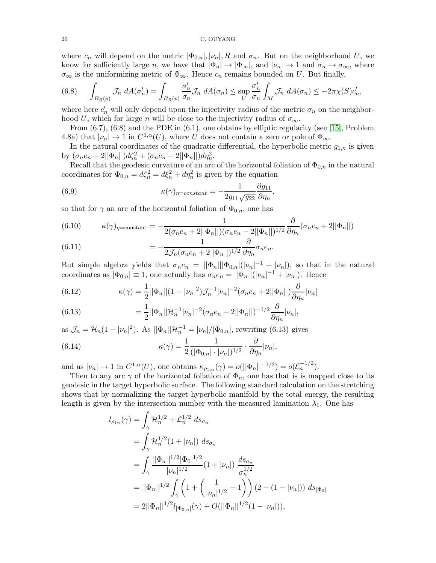where  $c_n$  will depend on the metric  $|\Phi_{0,n}|, |\nu_n|, R$  and  $\sigma_n$ . But on the neighborhood U, we know for sufficiently large n, we have that  $|\Phi_n| \to |\Phi_\infty|$ , and  $|\nu_n| \to 1$  and  $\sigma_n \to \sigma_\infty$ , where  $\sigma_{\infty}$  is the uniformizing metric of  $\Phi_{\infty}$ . Hence  $c_n$  remains bounded on U. But finally,

(6.8) 
$$
\int_{B_R(p)} \mathcal{J}_n \ dA(\sigma'_n) = \int_{B_R(p)} \frac{\sigma'_n}{\sigma_n} \mathcal{J}_n \ dA(\sigma_n) \leq \sup_U \frac{\sigma'_n}{\sigma_n} \int_M \mathcal{J}_n \ dA(\sigma_n) \leq -2\pi \chi(S) c'_n,
$$

where here  $c'_n$  will only depend upon the injectivity radius of the metric  $\sigma_n$  on the neighborhood U, which for large n will be close to the injectivity radius of  $\sigma_{\infty}$ .

From (6.7), (6.8) and the PDE in (6.1), one obtains by elliptic regularity (see [\[15\]](#page-36-21), Problem 4.8a) that  $|\nu_n| \to 1$  in  $C^{1,\alpha}(U)$ , where U does not contain a zero or pole of  $\Phi_{\infty}$ .

In the natural coordinates of the quadratic differential, the hyperbolic metric  $g_{1,n}$  is given by  $(\sigma_n e_n + 2||\Phi_n||)d\zeta_n^2 + (\sigma_n e_n - 2||\Phi_n||)d\eta_n^2$ .

Recall that the geodesic curvature of an arc of the horizontal foliation of  $\Phi_{0,n}$  in the natural coordinates for  $\Phi_{0,n} = d\zeta_n^2 = d\xi_n^2 + d\eta_n^2$  is given by the equation

(6.9) 
$$
\kappa(\gamma)_{\eta=constant} = -\frac{1}{2g_{11}\sqrt{g_{22}}}\frac{\partial g_{11}}{\partial \eta_n},
$$

so that for  $\gamma$  an arc of the horizontal foliation of  $\Phi_{0,n}$ , one has

(6.10) 
$$
\kappa(\gamma)_{\eta=\text{constant}} = -\frac{1}{2(\sigma_n e_n + 2||\Phi_n||)(\sigma_n e_n - 2||\Phi_n||)^{1/2}} \frac{\partial}{\partial \eta_n} (\sigma_n e_n + 2||\Phi_n||)
$$

$$
= -\frac{1}{2(\sigma_n e_n + 2||\Phi_n||)(\sigma_n e_n - 2||\Phi_n||)^{1/2}} \frac{\partial}{\partial \eta_n} (\sigma_n e_n + 2||\Phi_n||)
$$

(6.11) 
$$
= -\frac{1}{2\mathcal{J}_n(\sigma_n e_n + 2||\Phi_n||)^{1/2}} \frac{\partial}{\partial \eta_n} \sigma_n e_n.
$$

But simple algebra yields that  $\sigma_n e_n = ||\Phi_n|| |\Phi_{0,n}| (|\nu_n|^{-1} + |\nu_n|)$ , so that in the natural coordinates as  $|\Phi_{0,n}| \equiv 1$ , one actually has  $\sigma_n e_n = ||\Phi_n||(|\nu_n|^{-1} + |\nu_n|)$ . Hence

(6.12) 
$$
\kappa(\gamma) = \frac{1}{2} ||\Phi_n|| (1 - |\nu_n|^2) \mathcal{J}_n^{-1} |\nu_n|^{-2} (\sigma_n e_n + 2||\Phi_n||) \frac{\partial}{\partial \eta_n} |\nu_n|
$$

(6.13) 
$$
= \frac{1}{2} ||\Phi_n|| \mathcal{H}_n^{-1} |\nu_n|^{-2} (\sigma_n e_n + 2||\Phi_n||)^{-1/2} \frac{\partial}{\partial \eta_n} |\nu_n|,
$$

as  $\mathcal{J}_n = \mathcal{H}_n(1 - |\nu_n|^2)$ . As  $||\Phi_n||\mathcal{H}_n^{-1} = |\nu_n|/|\Phi_{0,n}|$ , rewriting (6.13) gives

(6.14) 
$$
\kappa(\gamma) = \frac{1}{2} \frac{1}{\left(|\Phi_{0,n}| \cdot |\nu_n|\right)^{1/2}} \cdot \frac{\partial}{\partial \eta_n} |\nu_n|,
$$

and as  $|\nu_n| \to 1$  in  $C^{1,\alpha}(U)$ , one obtains  $\kappa_{\rho_{1,n}}(\gamma) = o(||\Phi_n||^{-1/2}) = o(\mathcal{E}_n^{-1/2}).$ 

Then to any arc  $\gamma$  of the horizontal foliation of  $\Phi_n$ , one has that is is mapped close to its geodesic in the target hyperbolic surface. The following standard calculation on the stretching shows that by normalizing the target hyperbolic manifold by the total energy, the resulting length is given by the intersection number with the measured lamination  $\lambda_1$ . One has

$$
l_{\rho_{1n}}(\gamma) = \int_{\gamma} \mathcal{H}_n^{1/2} + \mathcal{L}_n^{1/2} ds_{\sigma_n}
$$
  
\n
$$
= \int_{\gamma} \mathcal{H}_n^{1/2} (1 + |\nu_n|) ds_{\sigma_n}
$$
  
\n
$$
= \int_{\gamma} \frac{||\Phi_n||^{1/2} |\Phi_0|^{1/2}}{|\nu_n|^{1/2}} (1 + |\nu_n|) \frac{ds_{\sigma_n}}{\sigma_n^{1/2}}
$$
  
\n
$$
= ||\Phi_n||^{1/2} \int_{\gamma} \left(1 + \left(\frac{1}{|\nu_n|^{1/2}} - 1\right)\right) (2 - (1 - |\nu_n|)) ds_{|\Phi_0|}
$$
  
\n
$$
= 2||\Phi_n||^{1/2} l_{|\Phi_{0,n}|}(\gamma) + O(||\Phi_n||^{1/2} (1 - |\nu_n|)),
$$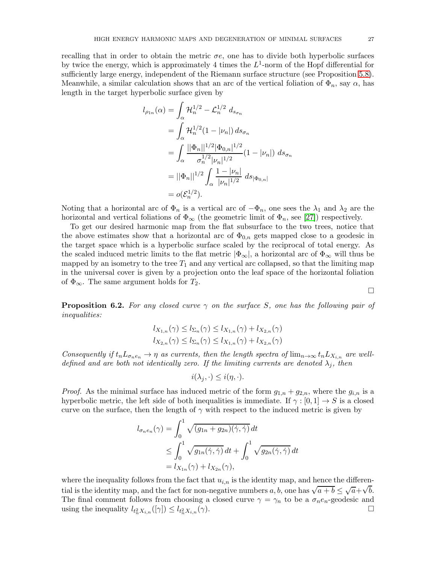recalling that in order to obtain the metric  $\sigma e$ , one has to divide both hyperbolic surfaces by twice the energy, which is approximately 4 times the  $L^1$ -norm of the Hopf differential for sufficiently large energy, independent of the Riemann surface structure (see Proposition [5.8\)](#page-19-0). Meanwhile, a similar calculation shows that an arc of the vertical foliation of  $\Phi_n$ , say  $\alpha$ , has length in the target hyperbolic surface given by

$$
l_{\rho_{1n}}(\alpha) = \int_{\alpha} \mathcal{H}_n^{1/2} - \mathcal{L}_n^{1/2} d_{s_{\sigma_n}}
$$
  
= 
$$
\int_{\alpha} \mathcal{H}_n^{1/2} (1 - |\nu_n|) d_{s_{\sigma_n}}
$$
  
= 
$$
\int_{\alpha} \frac{||\Phi_n||^{1/2} |\Phi_{0,n}|^{1/2}}{\sigma_n^{1/2} |\nu_n|^{1/2}} (1 - |\nu_n|) d_{s_{\sigma_n}}
$$
  
= 
$$
||\Phi_n||^{1/2} \int_{\alpha} \frac{1 - |\nu_n|}{|\nu_n|^{1/2}} d_{s_{|\Phi_{0,n}|}}
$$
  
= 
$$
o(\mathcal{E}_n^{1/2}).
$$

Noting that a horizontal arc of  $\Phi_n$  is a vertical arc of  $-\Phi_n$ , one sees the  $\lambda_1$  and  $\lambda_2$  are the horizontal and vertical foliations of  $\Phi_{\infty}$  (the geometric limit of  $\Phi_n$ , see [\[27\]](#page-36-22)) respectively.

To get our desired harmonic map from the flat subsurface to the two trees, notice that the above estimates show that a horizontal arc of  $\Phi_{0,n}$  gets mapped close to a geodesic in the target space which is a hyperbolic surface scaled by the reciprocal of total energy. As the scaled induced metric limits to the flat metric  $|\Phi_{\infty}|$ , a horizontal arc of  $\Phi_{\infty}$  will thus be mapped by an isometry to the tree  $T_1$  and any vertical arc collapsed, so that the limiting map in the universal cover is given by a projection onto the leaf space of the horizontal foliation of  $\Phi_{\infty}$ . The same argument holds for  $T_2$ .

<span id="page-26-0"></span>**Proposition 6.2.** For any closed curve  $\gamma$  on the surface S, one has the following pair of inequalities:

$$
l_{X_{1,n}}(\gamma) \leq l_{\Sigma_n}(\gamma) \leq l_{X_{1,n}}(\gamma) + l_{X_{2,n}}(\gamma)
$$
  

$$
l_{X_{2,n}}(\gamma) \leq l_{\Sigma_n}(\gamma) \leq l_{X_{1,n}}(\gamma) + l_{X_{2,n}}(\gamma)
$$

Consequently if  $t_nL_{\sigma_ne_n} \to \eta$  as currents, then the length spectra of  $\lim_{n\to\infty} t_nL_{X_{i,n}}$  are welldefined and are both not identically zero. If the limiting currents are denoted  $\lambda_i$ , then

$$
i(\lambda_j,\cdot)\leq i(\eta,\cdot).
$$

*Proof.* As the minimal surface has induced metric of the form  $g_{1,n} + g_{2,n}$ , where the  $g_{i,n}$  is a hyperbolic metric, the left side of both inequalities is immediate. If  $\gamma : [0, 1] \to S$  is a closed curve on the surface, then the length of  $\gamma$  with respect to the induced metric is given by

$$
l_{\sigma_n e_n}(\gamma) = \int_0^1 \sqrt{(g_{1n} + g_{2n})(\dot{\gamma}, \dot{\gamma})} dt
$$
  
\n
$$
\leq \int_0^1 \sqrt{g_{1n}(\dot{\gamma}, \dot{\gamma})} dt + \int_0^1 \sqrt{g_{2n}(\dot{\gamma}, \dot{\gamma})} dt
$$
  
\n
$$
= l_{X_{1n}}(\gamma) + l_{X_{2n}}(\gamma),
$$

where the inequality follows from the fact that  $u_{i,n}$  is the identity map, and hence the differential is the identity map, and the fact for non-negative numbers a, b, one has  $\sqrt{a+b} \leq \sqrt{a} + \sqrt{b}$ . The final comment follows from choosing a closed curve  $\gamma = \gamma_n$  to be a  $\sigma_n e_n$ -geodesic and using the inequality  $l_{t_n^2 X_{i,n}}([\gamma]) \leq l_{t_n^2 X_{i,n}}(\gamma)$ .

 $\Box$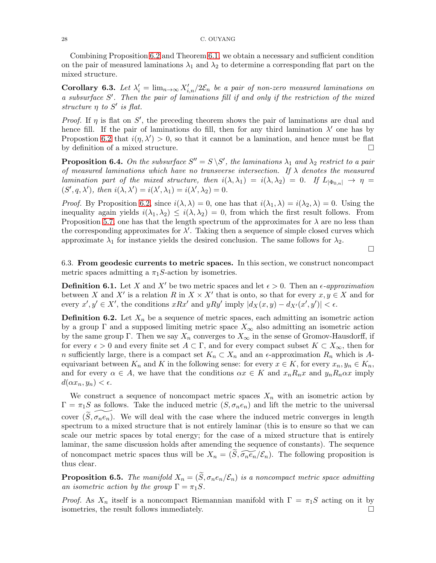Combining Proposition [6.2](#page-26-0) and Theorem [6.1,](#page-24-0) we obtain a necessary and sufficient condition on the pair of measured laminations  $\lambda_1$  and  $\lambda_2$  to determine a corresponding flat part on the mixed structure.

**Corollary 6.3.** Let  $\lambda'_i = \lim_{n \to \infty} X'_{i,n}/2\mathcal{E}_n$  be a pair of non-zero measured laminations on a subsurface S'. Then the pair of laminations fill if and only if the restriction of the mixed structure  $\eta$  to  $S'$  is flat.

Proof. If  $\eta$  is flat on S', the preceding theorem shows the pair of laminations are dual and hence fill. If the pair of laminations do fill, then for any third lamination  $\lambda'$  one has by Propostion [6.2](#page-26-0) that  $i(\eta, \lambda') > 0$ , so that it cannot be a lamination, and hence must be flat by definition of a mixed structure.

**Proposition 6.4.** On the subsurface  $S'' = S \setminus S'$ , the laminations  $\lambda_1$  and  $\lambda_2$  restrict to a pair of measured laminations which have no transverse intersection. If  $\lambda$  denotes the measured lamination part of the mixed structure, then  $i(\lambda, \lambda_1) = i(\lambda, \lambda_2) = 0$ . If  $L_{|\Phi_{0,n}|} \to \eta$  $(S', q, \lambda')$ , then  $i(\lambda, \lambda') = i(\lambda', \lambda_1) = i(\lambda', \lambda_2) = 0$ .

*Proof.* By Proposition [6](#page-26-0).2, since  $i(\lambda, \lambda) = 0$ , one has that  $i(\lambda_1, \lambda) = i(\lambda_2, \lambda) = 0$ . Using the inequality again yields  $i(\lambda_1, \lambda_2) \leq i(\lambda, \lambda_2) = 0$ , from which the first result follows. From Proposition [5](#page-18-0).7, one has that the length spectrum of the approximates for  $\lambda$  are no less than the corresponding approximates for  $\lambda'$ . Taking then a sequence of simple closed curves which approximate  $\lambda_1$  for instance yields the desired conclusion. The same follows for  $\lambda_2$ .

6.3. From geodesic currents to metric spaces. In this section, we construct noncompact metric spaces admitting a  $\pi_1 S$ -action by isometries.

 $\Box$ 

**Definition 6.1.** Let X and X' be two metric spaces and let  $\epsilon > 0$ . Then an  $\epsilon$ -approximation between X and X' is a relation R in  $X \times X'$  that is onto, so that for every  $x, y \in X$  and for every  $x', y' \in X'$ , the conditions  $xRx'$  and  $yRy'$  imply  $|d_X(x, y) - d_{X'}(x', y')| < \epsilon$ .

**Definition 6.2.** Let  $X_n$  be a sequence of metric spaces, each admitting an isometric action by a group  $\Gamma$  and a supposed limiting metric space  $X_{\infty}$  also admitting an isometric action by the same group Γ. Then we say  $X_n$  converges to  $X_\infty$  in the sense of Gromov-Hausdorff, if for every  $\epsilon > 0$  and every finite set  $A \subset \Gamma$ , and for every compact subset  $K \subset X_{\infty}$ , then for n sufficiently large, there is a compact set  $K_n \subset X_n$  and an  $\epsilon$ -approximation  $R_n$  which is Aequivariant between  $K_n$  and K in the following sense: for every  $x \in K$ , for every  $x_n, y_n \in K_n$ , and for every  $\alpha \in A$ , we have that the conditions  $\alpha x \in K$  and  $x_n R_n x$  and  $y_n R_n \alpha x$  imply  $d(\alpha x_n, y_n) < \epsilon.$ 

We construct a sequence of noncompact metric spaces  $X_n$  with an isometric action by  $\Gamma = \pi_1 S$  as follows. Take the induced metric  $(S, \sigma_n e_n)$  and lift the metric to the universal cover  $(S, \sigma_n e_n)$ . We will deal with the case where the induced metric converges in length spectrum to a mixed structure that is not entirely laminar (this is to ensure so that we can scale our metric spaces by total energy; for the case of a mixed structure that is entirely laminar, the same discussion holds after amending the sequence of constants). The sequence of noncompact metric spaces thus will be  $X_n = (\widetilde{S}, \widetilde{\sigma_n e_n}/\mathcal{E}_n)$ . The following proposition is thus clear.

**Proposition 6.5.** The manifold  $X_n = (\tilde{S}, \sigma_n e_n/\mathcal{E}_n)$  is a noncompact metric space admitting an isometric action by the group  $\Gamma = \pi_1 S$ .

*Proof.* As  $X_n$  itself is a noncompact Riemannian manifold with  $\Gamma = \pi_1 S$  acting on it by isometries, the result follows immediately.  $\Box$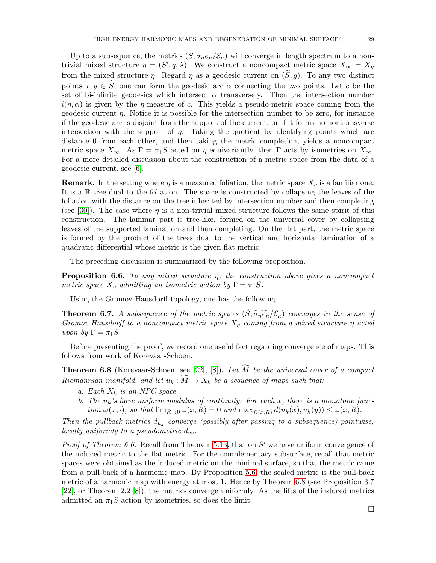Up to a subsequence, the metrics  $(S, \sigma_n e_n/\mathcal{E}_n)$  will converge in length spectrum to a nontrivial mixed structure  $\eta = (S', q, \lambda)$ . We construct a noncompact metric space  $X_{\infty} = X_{\eta}$ from the mixed structure  $\eta$ . Regard  $\eta$  as a geodesic current on  $(\widetilde{S}, g)$ . To any two distinct points  $x, y \in \tilde{S}$ , one can form the geodesic arc  $\alpha$  connecting the two points. Let c be the set of bi-infinite geodesics which intersect  $\alpha$  transversely. Then the intersection number  $i(\eta, \alpha)$  is given by the  $\eta$ -measure of c. This yields a pseudo-metric space coming from the geodesic current  $\eta$ . Notice it is possible for the intersection number to be zero, for instance if the geodesic arc is disjoint from the support of the current, or if it forms no nontransverse intersection with the support of  $\eta$ . Taking the quotient by identifying points which are distance 0 from each other, and then taking the metric completion, yields a noncompact metric space  $X_{\infty}$ . As  $\Gamma = \pi_1 S$  acted on  $\eta$  equivariantly, then  $\Gamma$  acts by isometries on  $X_{\infty}$ . For a more detailed discussion about the construction of a metric space from the data of a geodesic current, see [\[6\]](#page-36-23).

**Remark.** In the setting where  $\eta$  is a measured foliation, the metric space  $X_{\eta}$  is a familiar one. It is a R-tree dual to the foliation. The space is constructed by collapsing the leaves of the foliation with the distance on the tree inherited by intersection number and then completing (see [\[30\]](#page-36-24)). The case where  $\eta$  is a non-trivial mixed structure follows the same spirit of this construction. The laminar part is tree-like, formed on the universal cover by collapsing leaves of the supported lamination and then completing. On the flat part, the metric space is formed by the product of the trees dual to the vertical and horizontal lamination of a quadratic differential whose metric is the given flat metric.

The preceding discussion is summarized by the following proposition.

**Proposition 6.6.** To any mixed structure  $\eta$ , the construction above gives a noncompact metric space  $X_n$  admitting an isometric action by  $\Gamma = \pi_1 S$ .

Using the Gromov-Hausdorff topology, one has the following.

**Theorem 6.7.** A subsequence of the metric spaces  $(\widetilde{S}, \widetilde{\sigma_n e_n}/\mathcal{E}_n)$  converges in the sense of Gromov-Hausdorff to a noncompact metric space  $X_{\eta}$  coming from a mixed structure  $\eta$  acted upon by  $\Gamma = \pi_1 S$ .

Before presenting the proof, we record one useful fact regarding convergence of maps. This follows from work of Korevaar-Schoen.

<span id="page-28-0"></span>**Theorem 6.8** (Korevaar-Schoen, see [\[22\]](#page-36-25), [\[8\]](#page-36-18)). Let  $\widetilde{M}$  be the universal cover of a compact Riemannian manifold, and let  $u_k : \overline{M} \to X_k$  be a sequence of maps such that:

- a. Each  $X_k$  is an NPC space
- b. The  $u_k$ 's have uniform modulus of continuity: For each x, there is a monotone function  $\omega(x, \cdot)$ , so that  $\lim_{R\to 0} \omega(x, R) = 0$  and  $\max_{B(x, R)} d(u_k(x), u_k(y)) \leq \omega(x, R)$ .

Then the pullback metrics  $d_{u_k}$  converge (possibly after passing to a subsequence) pointwise, locally uniformly to a pseudometric  $d_{\infty}$ .

*Proof of Theorem 6.6.* Recall from Theorem [5.13,](#page-22-0) that on  $S'$  we have uniform convergence of the induced metric to the flat metric. For the complementary subsurface, recall that metric spaces were obtained as the induced metric on the minimal surface, so that the metric came from a pull-back of a harmonic map. By Proposition [5.6,](#page-18-1) the scaled metric is the pull-back metric of a harmonic map with energy at most 1. Hence by Theorem [6.8](#page-28-0) (see Proposition 3.7 [\[22\]](#page-36-25), or Theorem 2.2 [\[8\]](#page-36-18)), the metrics converge uniformly. As the lifts of the induced metrics admitted an  $\pi_1 S$ -action by isometries, so does the limit.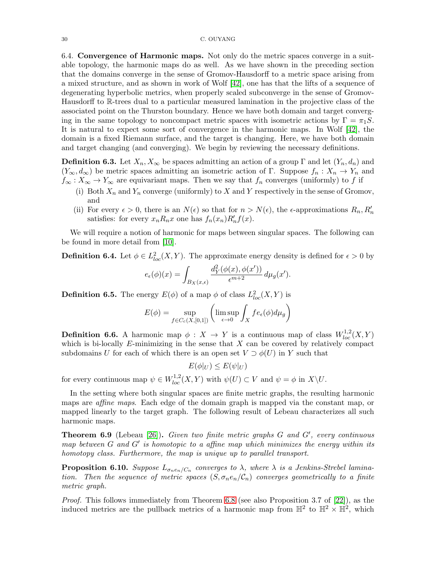6.4. Convergence of Harmonic maps. Not only do the metric spaces converge in a suitable topology, the harmonic maps do as well. As we have shown in the preceding section that the domains converge in the sense of Gromov-Hausdorff to a metric space arising from a mixed structure, and as shown in work of Wolf [\[42\]](#page-37-4), one has that the lifts of a sequence of degenerating hyperbolic metrics, when properly scaled subconverge in the sense of Gromov-Hausdorff to R-trees dual to a particular measured lamination in the projective class of the associated point on the Thurston boundary. Hence we have both domain and target converging in the same topology to noncompact metric spaces with isometric actions by  $\Gamma = \pi_1 S$ . It is natural to expect some sort of convergence in the harmonic maps. In Wolf [\[42\]](#page-37-4), the domain is a fixed Riemann surface, and the target is changing. Here, we have both domain and target changing (and converging). We begin by reviewing the necessary definitions.

**Definition 6.3.** Let  $X_n, X_\infty$  be spaces admitting an action of a group  $\Gamma$  and let  $(Y_n, d_n)$  and  $(Y_{\infty}, d_{\infty})$  be metric spaces admitting an isometric action of Γ. Suppose  $f_n : X_n \to Y_n$  and  $f_{\infty}: X_{\infty} \to Y_{\infty}$  are equivariant maps. Then we say that  $f_n$  converges (uniformly) to f if

- (i) Both  $X_n$  and  $Y_n$  converge (uniformly) to X and Y respectively in the sense of Gromov, and
- (ii) For every  $\epsilon > 0$ , there is an  $N(\epsilon)$  so that for  $n > N(\epsilon)$ , the  $\epsilon$ -approximations  $R_n, R'_n$ satisfies: for every  $x_n R_n x$  one has  $f_n(x_n) R'_n f(x)$ .

We will require a notion of harmonic for maps between singular spaces. The following can be found in more detail from [\[10\]](#page-36-26).

**Definition 6.4.** Let  $\phi \in L^2_{loc}(X, Y)$ . The approximate energy density is defined for  $\epsilon > 0$  by

$$
e_{\epsilon}(\phi)(x) = \int_{B_X(x,\epsilon)} \frac{d_Y^2(\phi(x), \phi(x'))}{\epsilon^{m+2}} d\mu_g(x').
$$

**Definition 6.5.** The energy  $E(\phi)$  of a map  $\phi$  of class  $L^2_{loc}(X, Y)$  is

$$
E(\phi) = \sup_{f \in C_c(X, [0,1])} \left( \limsup_{\epsilon \to 0} \int_X f e_\epsilon(\phi) d\mu_g \right)
$$

**Definition 6.6.** A harmonic map  $\phi: X \to Y$  is a continuous map of class  $W^{1,2}_{loc}(X,Y)$ which is bi-locally  $E$ -minimizing in the sense that  $X$  can be covered by relatively compact subdomains U for each of which there is an open set  $V \supset \phi(U)$  in Y such that

 $E(\phi|_U) \leq E(\psi|_U)$ 

for every continuous map  $\psi \in W^{1,2}_{loc}(X,Y)$  with  $\psi(U) \subset V$  and  $\psi = \phi$  in  $X \backslash U$ .

In the setting where both singular spaces are finite metric graphs, the resulting harmonic maps are *affine maps*. Each edge of the domain graph is mapped via the constant map, or mapped linearly to the target graph. The following result of Lebeau characterizes all such harmonic maps.

<span id="page-29-1"></span>**Theorem 6.9** (Lebeau  $[26]$ ). Given two finite metric graphs  $G$  and  $G'$ , every continuous map between  $G$  and  $G'$  is homotopic to a affine map which minimizes the energy within its homotopy class. Furthermore, the map is unique up to parallel transport.

<span id="page-29-0"></span>**Proposition 6.10.** Suppose  $L_{\sigma_n e_n/C_n}$  converges to  $\lambda$ , where  $\lambda$  is a Jenkins-Strebel lamination. Then the sequence of metric spaces  $(S, \sigma_n e_n/\mathcal{C}_n)$  converges geometrically to a finite metric graph.

Proof. This follows immediately from Theorem [6.8](#page-28-0) (see also Proposition 3.7 of [\[22\]](#page-36-25)), as the induced metrics are the pullback metrics of a harmonic map from  $\mathbb{H}^2$  to  $\mathbb{H}^2 \times \mathbb{H}^2$ , which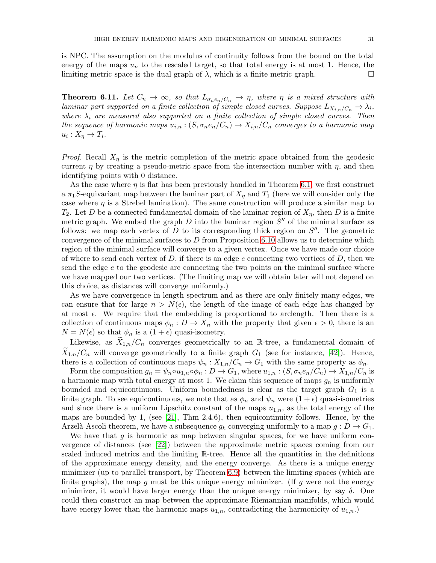is NPC. The assumption on the modulus of continuity follows from the bound on the total energy of the maps  $u_n$  to the rescaled target, so that total energy is at most 1. Hence, the limiting metric space is the dual graph of  $\lambda$ , which is a finite metric graph.

<span id="page-30-0"></span>**Theorem 6.11.** Let  $C_n \to \infty$ , so that  $L_{\sigma_n e_n/C_n} \to \eta$ , where  $\eta$  is a mixed structure with laminar part supported on a finite collection of simple closed curves. Suppose  $L_{X_{i,n}/C_n} \to \lambda_i$ , where  $\lambda_i$  are measured also supported on a finite collection of simple closed curves. Then the sequence of harmonic maps  $u_{i,n}$ :  $(S, \sigma_n e_n/C_n) \to X_{i,n}/C_n$  converges to a harmonic map  $u_i: X_\eta \to T_i.$ 

*Proof.* Recall  $X_{\eta}$  is the metric completion of the metric space obtained from the geodesic current  $\eta$  by creating a pseudo-metric space from the intersection number with  $\eta$ , and then identifying points with 0 distance.

As the case where  $\eta$  is flat has been previously handled in Theorem [6.1,](#page-24-0) we first construct a  $\pi_1S$ -equivariant map between the laminar part of  $X_n$  and  $T_1$  (here we will consider only the case where  $\eta$  is a Strebel lamination). The same construction will produce a similar map to  $T_2$ . Let D be a connected fundamental domain of the laminar region of  $X_n$ , then D is a finite metric graph. We embed the graph  $D$  into the laminar region  $S''$  of the minimal surface as follows: we map each vertex of  $D$  to its corresponding thick region on  $S''$ . The geometric convergence of the minimal surfaces to  $D$  from Proposition 6.[10](#page-29-0) allows us to determine which region of the minimal surface will converge to a given vertex. Once we have made our choice of where to send each vertex of  $D$ , if there is an edge  $e$  connecting two vertices of  $D$ , then we send the edge e to the geodesic arc connecting the two points on the minimal surface where we have mapped our two vertices. (The limiting map we will obtain later will not depend on this choice, as distances will converge uniformly.)

As we have convergence in length spectrum and as there are only finitely many edges, we can ensure that for large  $n > N(\epsilon)$ , the length of the image of each edge has changed by at most  $\epsilon$ . We require that the embedding is proportional to arclength. Then there is a collection of continuous maps  $\phi_n : D \to X_n$  with the property that given  $\epsilon > 0$ , there is an  $N = N(\epsilon)$  so that  $\phi_n$  is a  $(1 + \epsilon)$  quasi-isometry.

Likewise, as  $X_{1,n}/C_n$  converges geometrically to an R-tree, a fundamental domain of  $X_{1,n}/C_n$  will converge geometrically to a finite graph  $G_1$  (see for instance, [\[42\]](#page-37-4)). Hence, there is a collection of continuous maps  $\psi_n : X_{1,n}/C_n \to G_1$  with the same property as  $\phi_n$ .

Form the composition  $g_n = \psi_n \circ u_{1,n} \circ \phi_n : D \to G_1$ , where  $u_{1,n} : (S, \sigma_n e_n / C_n) \to X_{1,n} / C_n$  is a harmonic map with total energy at most 1. We claim this sequence of maps  $g_n$  is uniformly bounded and equicontinuous. Uniform boundedness is clear as the target graph  $G_1$  is a finite graph. To see equicontinuous, we note that as  $\phi_n$  and  $\psi_n$  were  $(1 + \epsilon)$  quasi-isometries and since there is a uniform Lipschitz constant of the maps  $u_{1,n}$ , as the total energy of the maps are bounded by 1, (see  $[21]$ , Thm 2.4.6), then equicontinuity follows. Hence, by the Arzelà-Ascoli theorem, we have a subsequence  $q_k$  converging uniformly to a map  $q: D \to G_1$ .

We have that  $g$  is harmonic as map between singular spaces, for we have uniform convergence of distances (see [\[22\]](#page-36-25)) between the approximate metric spaces coming from our scaled induced metrics and the limiting R-tree. Hence all the quantities in the definitions of the approximate energy density, and the energy converge. As there is a unique energy minimizer (up to parallel transport, by Theorem [6.9\)](#page-29-1) between the limiting spaces (which are finite graphs), the map q must be this unique energy minimizer. (If q were not the energy minimizer, it would have larger energy than the unique energy minimizer, by say  $\delta$ . One could then construct an map between the approximate Riemannian manifolds, which would have energy lower than the harmonic maps  $u_{1,n}$ , contradicting the harmonicity of  $u_{1,n}$ .)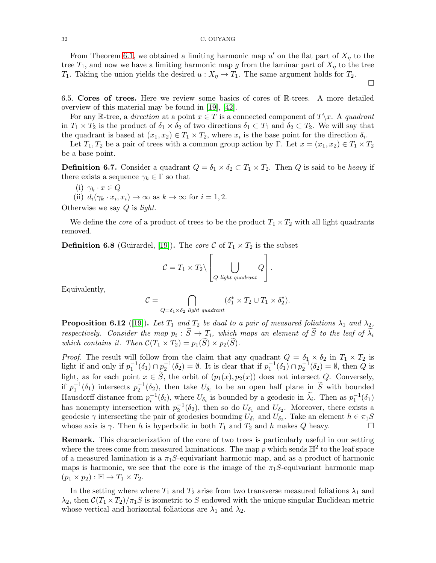From Theorem [6.1,](#page-24-0) we obtained a limiting harmonic map  $u'$  on the flat part of  $X_{\eta}$  to the tree  $T_1$ , and now we have a limiting harmonic map g from the laminar part of  $X_\eta$  to the tree  $T_1$ . Taking the union yields the desired  $u : X_n \to T_1$ . The same argument holds for  $T_2$ .

 $\Box$ 

6.5. Cores of trees. Here we review some basics of cores of R-trees. A more detailed overview of this material may be found in [\[19\]](#page-36-29), [\[42\]](#page-37-4).

For any R-tree, a direction at a point  $x \in T$  is a connected component of  $T\backslash x$ . A quadrant in  $T_1 \times T_2$  is the product of  $\delta_1 \times \delta_2$  of two directions  $\delta_1 \subset T_1$  and  $\delta_2 \subset T_2$ . We will say that the quadrant is based at  $(x_1, x_2) \in T_1 \times T_2$ , where  $x_i$  is the base point for the direction  $\delta_i$ .

Let  $T_1, T_2$  be a pair of trees with a common group action by Γ. Let  $x = (x_1, x_2) \in T_1 \times T_2$ be a base point.

**Definition 6.7.** Consider a quadrant  $Q = \delta_1 \times \delta_2 \subset T_1 \times T_2$ . Then Q is said to be *heavy* if there exists a sequence  $\gamma_k \in \Gamma$  so that

$$
(i) \ \gamma_k \cdot x \in Q
$$

(ii) 
$$
d_i(\gamma_k \cdot x_i, x_i) \to \infty
$$
 as  $k \to \infty$  for  $i = 1, 2$ .

Otherwise we say Q is light.

We define the *core* of a product of trees to be the product  $T_1 \times T_2$  with all light quadrants removed.

**Definition 6.8** (Guirardel, [\[19\]](#page-36-29)). The core C of  $T_1 \times T_2$  is the subset

$$
\mathcal{C} = T_1 \times T_2 \setminus \left[ \bigcup_{Q \text{ light quadrant}} Q \right].
$$

Equivalently,

$$
\mathcal{C} = \bigcap_{Q = \delta_1 \times \delta_2 \text{ light quadrant}} (\delta_1^* \times T_2 \cup T_1 \times \delta_2^*).
$$

<span id="page-31-0"></span>**Proposition 6.12** ([\[19\]](#page-36-29)). Let  $T_1$  and  $T_2$  be dual to a pair of measured foliations  $\lambda_1$  and  $\lambda_2$ , respectively. Consider the map  $p_i : S \to T_i$ , which maps an element of S to the leaf of  $\lambda_i$ which contains it. Then  $\mathcal{C}(T_1 \times T_2) = p_1(\widetilde{S}) \times p_2(\widetilde{S})$ .

*Proof.* The result will follow from the claim that any quadrant  $Q = \delta_1 \times \delta_2$  in  $T_1 \times T_2$  is light if and only if  $p_1^{-1}(\delta_1) \cap p_2^{-1}(\delta_2) = \emptyset$ . It is clear that if  $p_1^{-1}(\delta_1) \cap p_2^{-1}(\delta_2) = \emptyset$ , then Q is light, as for each point  $x \in \tilde{S}$ , the orbit of  $(p_1(x), p_2(x))$  does not intersect Q. Conversely, if  $p_1^{-1}(\delta_1)$  intersects  $p_2^{-1}(\delta_2)$ , then take  $U_{\delta_i}$  to be an open half plane in  $\widetilde{S}$  with bounded Hausdorff distance from  $p_i^{-1}(\delta_i)$ , where  $U_{\delta_i}$  is bounded by a geodesic in  $\widetilde{\lambda_i}$ . Then as  $p_1^{-1}(\delta_1)$ has nonempty intersection with  $p_2^{-1}(\delta_2)$ , then so do  $U_{\delta_1}$  and  $U_{\delta_2}$ . Moreover, there exists a geodesic  $\gamma$  intersecting the pair of geodesics bounding  $U_{\delta_1}$  and  $U_{\delta_2}$ . Take an element  $h \in \pi_1 S$ whose axis is  $\gamma$ . Then h is hyperbolic in both  $T_1$  and  $T_2$  and h makes Q heavy.

Remark. This characterization of the core of two trees is particularly useful in our setting where the trees come from measured laminations. The map  $p$  which sends  $\mathbb{H}^2$  to the leaf space of a measured lamination is a  $\pi_1 S$ -equivariant harmonic map, and as a product of harmonic maps is harmonic, we see that the core is the image of the  $\pi_1S$ -equivariant harmonic map  $(p_1 \times p_2) : \mathbb{H} \to T_1 \times T_2.$ 

In the setting where where  $T_1$  and  $T_2$  arise from two transverse measured foliations  $\lambda_1$  and  $\lambda_2$ , then  $C(T_1 \times T_2)/\pi_1 S$  is isometric to S endowed with the unique singular Euclidean metric whose vertical and horizontal foliations are  $\lambda_1$  and  $\lambda_2$ .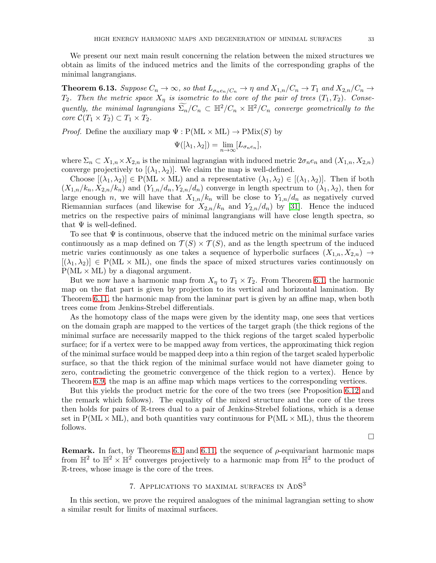We present our next main result concerning the relation between the mixed structures we obtain as limits of the induced metrics and the limits of the corresponding graphs of the minimal langrangians.

<span id="page-32-1"></span>**Theorem 6.13.** Suppose  $C_n \to \infty$ , so that  $L_{\sigma_n e_n/C_n} \to \eta$  and  $X_{1,n}/C_n \to T_1$  and  $X_{2,n}/C_n \to T_2$  $T_2$ . Then the metric space  $X_{\eta}$  is isometric to the core of the pair of trees  $(T_1, T_2)$ . Consequently, the minimal lagrangians  $\widetilde{\Sigma_n}/C_n \subset \mathbb{H}^2/C_n \times \mathbb{H}^2/C_n$  converge geometrically to the core  $C(T_1 \times T_2) \subset T_1 \times T_2$ .

*Proof.* Define the auxiliary map  $\Psi : P(ML \times ML) \to PMix(S)$  by

$$
\Psi([\lambda_1, \lambda_2]) = \lim_{n \to \infty} [L_{\sigma_n e_n}],
$$

where  $\Sigma_n \subset X_{1,n} \times X_{2,n}$  is the minimal lagrangian with induced metric  $2\sigma_n e_n$  and  $(X_{1,n}, X_{2,n})$ converge projectively to  $[(\lambda_1, \lambda_2)]$ . We claim the map is well-defined.

Choose  $[(\lambda_1, \lambda_2)] \in P(ML \times ML)$  and a representative  $(\lambda_1, \lambda_2) \in [(\lambda_1, \lambda_2)]$ . Then if both  $(X_{1,n}/k_n, X_{2,n}/k_n)$  and  $(Y_{1,n}/d_n, Y_{2,n}/d_n)$  converge in length spectrum to  $(\lambda_1, \lambda_2)$ , then for large enough n, we will have that  $X_{1,n}/k_n$  will be close to  $Y_{1,n}/d_n$  as negatively curved Riemannian surfaces (and likewise for  $X_{2,n}/k_n$  and  $Y_{2,n}/d_n$ ) by [\[31\]](#page-36-13). Hence the induced metrics on the respective pairs of minimal langrangians will have close length spectra, so that  $\Psi$  is well-defined.

To see that  $\Psi$  is continuous, observe that the induced metric on the minimal surface varies continuously as a map defined on  $\mathcal{T}(S) \times \mathcal{T}(S)$ , and as the length spectrum of the induced metric varies continuously as one takes a sequence of hyperbolic surfaces  $(X_{1,n}, X_{2,n}) \rightarrow$  $[(\lambda_1, \lambda_2)] \in P(ML \times ML)$ , one finds the space of mixed structures varies continuously on  $P(ML \times ML)$  by a diagonal argument.

But we now have a harmonic map from  $X_n$  to  $T_1 \times T_2$ . From Theorem [6.1,](#page-24-0) the harmonic map on the flat part is given by projection to its vertical and horizontal lamination. By Theorem [6.11,](#page-30-0) the harmonic map from the laminar part is given by an affine map, when both trees come from Jenkins-Strebel differentials.

As the homotopy class of the maps were given by the identity map, one sees that vertices on the domain graph are mapped to the vertices of the target graph (the thick regions of the minimal surface are necessarily mapped to the thick regions of the target scaled hyperbolic surface; for if a vertex were to be mapped away from vertices, the approximating thick region of the minimal surface would be mapped deep into a thin region of the target scaled hyperbolic surface, so that the thick region of the minimal surface would not have diameter going to zero, contradicting the geometric convergence of the thick region to a vertex). Hence by Theorem [6.9,](#page-29-1) the map is an affine map which maps vertices to the corresponding vertices.

But this yields the product metric for the core of the two trees (see Proposition [6.12](#page-31-0) and the remark which follows). The equality of the mixed structure and the core of the trees then holds for pairs of R-trees dual to a pair of Jenkins-Strebel foliations, which is a dense set in  $P(ML \times ML)$ , and both quantities vary continuous for  $P(ML \times ML)$ , thus the theorem follows.

 $\Box$ 

Remark. In fact, by Theorems [6.1](#page-24-0) and [6.11,](#page-30-0) the sequence of  $\rho$ -equivariant harmonic maps from  $\mathbb{H}^2$  to  $\mathbb{H}^2 \times \mathbb{H}^2$  converges projectively to a harmonic map from  $\mathbb{H}^2$  to the product of R-trees, whose image is the core of the trees.

# 7. APPLICATIONS TO MAXIMAL SURFACES IN ADS<sup>3</sup>

<span id="page-32-0"></span>In this section, we prove the required analogues of the minimal lagrangian setting to show a similar result for limits of maximal surfaces.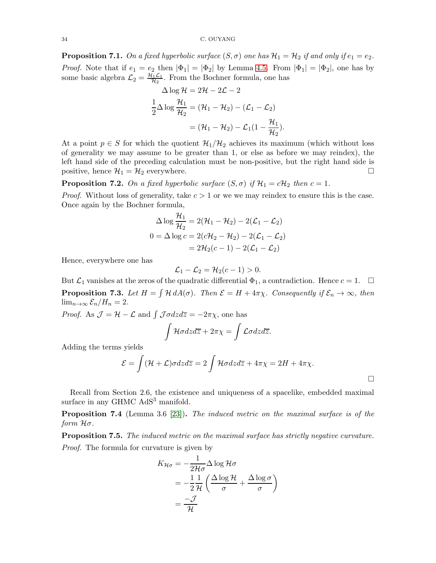**Proposition 7.1.** On a fixed hyperbolic surface  $(S, \sigma)$  one has  $\mathcal{H}_1 = \mathcal{H}_2$  if and only if  $e_1 = e_2$ . *Proof.* Note that if  $e_1 = e_2$  then  $|\Phi_1| = |\Phi_2|$  by Lemma [4](#page-11-1).5. From  $|\Phi_1| = |\Phi_2|$ , one has by some basic algebra  $\mathcal{L}_2 = \frac{\mathcal{H}_1 \mathcal{L}_1}{\mathcal{H}_2}$  $\frac{H_1L_1}{\mathcal{H}_2}$ . From the Bochner formula, one has

$$
\Delta \log \mathcal{H} = 2\mathcal{H} - 2\mathcal{L} - 2
$$

$$
\frac{1}{2} \Delta \log \frac{\mathcal{H}_1}{\mathcal{H}_2} = (\mathcal{H}_1 - \mathcal{H}_2) - (\mathcal{L}_1 - \mathcal{L}_2)
$$

$$
= (\mathcal{H}_1 - \mathcal{H}_2) - \mathcal{L}_1 (1 - \frac{\mathcal{H}_1}{\mathcal{H}_2}).
$$

At a point  $p \in S$  for which the quotient  $\mathcal{H}_1/\mathcal{H}_2$  achieves its maximum (which without loss of generality we may assume to be greater than 1, or else as before we may reindex), the left hand side of the preceding calculation must be non-positive, but the right hand side is positive, hence  $\mathcal{H}_1 = \mathcal{H}_2$  everywhere.

<span id="page-33-0"></span>**Proposition 7.2.** On a fixed hyperbolic surface  $(S, \sigma)$  if  $\mathcal{H}_1 = c\mathcal{H}_2$  then  $c = 1$ .

*Proof.* Without loss of generality, take  $c > 1$  or we we may reindex to ensure this is the case. Once again by the Bochner formula,

$$
\Delta \log \frac{\mathcal{H}_1}{\mathcal{H}_2} = 2(\mathcal{H}_1 - \mathcal{H}_2) - 2(\mathcal{L}_1 - \mathcal{L}_2)
$$

$$
0 = \Delta \log c = 2(c\mathcal{H}_2 - \mathcal{H}_2) - 2(\mathcal{L}_1 - \mathcal{L}_2)
$$

$$
= 2\mathcal{H}_2(c - 1) - 2(\mathcal{L}_1 - \mathcal{L}_2)
$$

Hence, everywhere one has

$$
\mathcal{L}_1 - \mathcal{L}_2 = \mathcal{H}_2(c-1) > 0.
$$

<span id="page-33-1"></span>But  $\mathcal{L}_1$  vanishes at the zeros of the quadratic differential  $\Phi_1$ , a contradiction. Hence  $c = 1$ .  $\Box$ **Proposition 7.3.** Let  $H = \int \mathcal{H} dA(\sigma)$ . Then  $\mathcal{E} = H + 4\pi\chi$ . Consequently if  $\mathcal{E}_n \to \infty$ , then  $\lim_{n\to\infty} \mathcal{E}_n/H_n = 2.$ 

*Proof.* As  $\mathcal{J} = \mathcal{H} - \mathcal{L}$  and  $\int \mathcal{J} \sigma dz d\overline{z} = -2\pi \chi$ , one has

$$
\int \mathcal{H}\sigma dz d\overline{z} + 2\pi \chi = \int \mathcal{L}\sigma dz d\overline{z}.
$$

Adding the terms yields

$$
\mathcal{E} = \int (\mathcal{H} + \mathcal{L}) \sigma dz d\overline{z} = 2 \int \mathcal{H} \sigma dz d\overline{z} + 4\pi \chi = 2H + 4\pi \chi.
$$

 $\Box$ 

Recall from Section 2.6, the existence and uniqueness of a spacelike, embedded maximal surface in any GHMC AdS<sup>3</sup> manifold.

Proposition 7.4 (Lemma 3.6 [\[23\]](#page-36-16)). The induced metric on the maximal surface is of the form Hσ.

**Proposition 7.5.** The induced metric on the maximal surface has strictly negative curvature. Proof. The formula for curvature is given by

$$
K_{\mathcal{H}\sigma} = -\frac{1}{2\mathcal{H}\sigma} \Delta \log \mathcal{H}\sigma
$$
  
=  $-\frac{1}{2}\frac{1}{\mathcal{H}} \left( \frac{\Delta \log \mathcal{H}}{\sigma} + \frac{\Delta \log \sigma}{\sigma} \right)$   
=  $\frac{-\mathcal{J}}{\mathcal{H}}$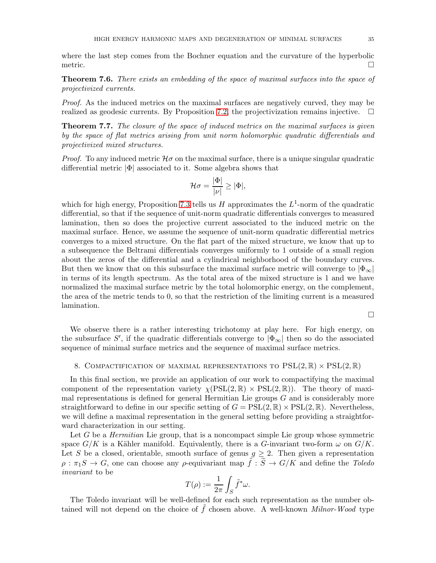where the last step comes from the Bochner equation and the curvature of the hyperbolic metric.  $\Box$ 

Theorem 7.6. There exists an embedding of the space of maximal surfaces into the space of projectivized currents.

Proof. As the induced metrics on the maximal surfaces are negatively curved, they may be realized as geodesic currents. By Proposition [7.2,](#page-33-0) the projectivization remains injective.

Theorem 7.7. The closure of the space of induced metrics on the maximal surfaces is given by the space of flat metrics arising from unit norm holomorphic quadratic differentials and projectivized mixed structures.

*Proof.* To any induced metric  $\mathcal{H}\sigma$  on the maximal surface, there is a unique singular quadratic differential metric |Φ| associated to it. Some algebra shows that

$$
\mathcal{H}\sigma = \frac{|\Phi|}{|\nu|} \geq |\Phi|,
$$

which for high energy, Proposition [7.3](#page-33-1) tells us  $H$  approximates the  $L^1$ -norm of the quadratic differential, so that if the sequence of unit-norm quadratic differentials converges to measured lamination, then so does the projective current associated to the induced metric on the maximal surface. Hence, we assume the sequence of unit-norm quadratic differential metrics converges to a mixed structure. On the flat part of the mixed structure, we know that up to a subsequence the Beltrami differentials converges uniformly to 1 outside of a small region about the zeros of the differential and a cylindrical neighborhood of the boundary curves. But then we know that on this subsurface the maximal surface metric will converge to  $|\Phi_{\infty}|$ in terms of its length spectrum. As the total area of the mixed structure is 1 and we have normalized the maximal surface metric by the total holomorphic energy, on the complement, the area of the metric tends to 0, so that the restriction of the limiting current is a measured lamination.

 $\Box$ 

We observe there is a rather interesting trichotomy at play here. For high energy, on the subsurface S', if the quadratic differentials converge to  $|\Phi_{\infty}|$  then so do the associated sequence of minimal surface metrics and the sequence of maximal surface metrics.

### <span id="page-34-0"></span>8. COMPACTIFICATION OF MAXIMAL REPRESENTATIONS TO  $PSL(2,\mathbb{R})\times \text{PSL}(2,\mathbb{R})$

In this final section, we provide an application of our work to compactifying the maximal component of the representation variety  $\chi(PSL(2,\mathbb{R}) \times PSL(2,\mathbb{R}))$ . The theory of maximal representations is defined for general Hermitian Lie groups  $G$  and is considerably more straightforward to define in our specific setting of  $G = \text{PSL}(2, \mathbb{R}) \times \text{PSL}(2, \mathbb{R})$ . Nevertheless, we will define a maximal representation in the general setting before providing a straightforward characterization in our setting.

Let G be a *Hermitian* Lie group, that is a noncompact simple Lie group whose symmetric space  $G/K$  is a Kähler manifold. Equivalently, there is a G-invariant two-form  $\omega$  on  $G/K$ . Let S be a closed, orientable, smooth surface of genus  $g \geq 2$ . Then given a representation  $\rho : \pi_1S \to G$ , one can choose any  $\rho$ -equivariant map  $\tilde{f} : \tilde{S} \to G/K$  and define the Toledo invariant to be

$$
T(\rho):=\frac{1}{2\pi}\int_S \tilde{f}^*\omega.
$$

The Toledo invariant will be well-defined for each such representation as the number obtained will not depend on the choice of  $\hat{f}$  chosen above. A well-known *Milnor-Wood* type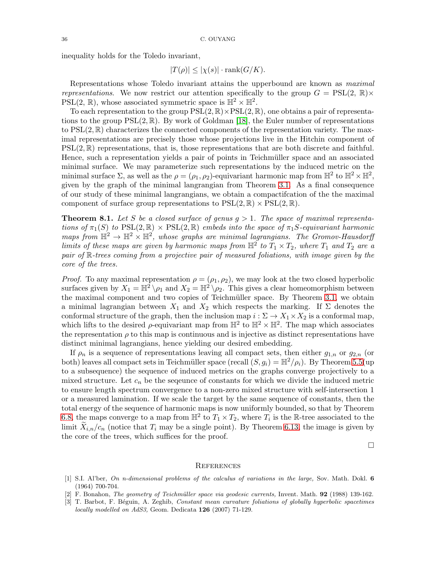inequality holds for the Toledo invariant,

$$
|T(\rho)| \le |\chi(s)| \cdot \text{rank}(G/K).
$$

Representations whose Toledo invariant attains the upperbound are known as maximal representations. We now restrict our attention specifically to the group  $G = \text{PSL}(2, \mathbb{R}) \times$ PSL(2,  $\mathbb{R}$ ), whose associated symmetric space is  $\mathbb{H}^2 \times \mathbb{H}^2$ .

To each representation to the group  $PSL(2, \mathbb{R}) \times PSL(2, \mathbb{R})$ , one obtains a pair of representations to the group  $PSL(2,\mathbb{R})$ . By work of Goldman [\[18\]](#page-36-30), the Euler number of representations to  $PSL(2,\mathbb{R})$  characterizes the connected components of the representation variety. The maximal representations are precisely those whose projections live in the Hitchin component of  $PSL(2,\mathbb{R})$  representations, that is, those representations that are both discrete and faithful. Hence, such a representation yields a pair of points in Teichmüller space and an associated minimal surface. We may parameterize such representations by the induced metric on the minimal surface  $\Sigma$ , as well as the  $\rho = (\rho_1, \rho_2)$ -equivariant harmonic map from  $\mathbb{H}^2$  to  $\mathbb{H}^2 \times \mathbb{H}^2$ , given by the graph of the minimal langrangian from Theorem [3.1.](#page-7-1) As a final consequence of our study of these minimal langrangians, we obtain a compactifcation of the the maximal component of surface group representations to  $PSL(2, \mathbb{R}) \times PSL(2, \mathbb{R})$ .

**Theorem 8.1.** Let S be a closed surface of genus  $g > 1$ . The space of maximal representations of  $\pi_1(S)$  to  $PSL(2,\mathbb{R}) \times PSL(2,\mathbb{R})$  embeds into the space of  $\pi_1S$ -equivariant harmonic maps from  $\mathbb{H}^2 \to \mathbb{H}^2 \times \mathbb{H}^2$ , whose graphs are minimal lagrangians. The Gromov-Hausdorff limits of these maps are given by harmonic maps from  $\mathbb{H}^2$  to  $T_1 \times T_2$ , where  $T_1$  and  $T_2$  are a pair of R-trees coming from a projective pair of measured foliations, with image given by the core of the trees.

*Proof.* To any maximal representation  $\rho = (\rho_1, \rho_2)$ , we may look at the two closed hyperbolic surfaces given by  $X_1 = \mathbb{H}^2 \setminus \rho_1$  and  $X_2 = \mathbb{H}^2 \setminus \rho_2$ . This gives a clear homeomorphism between the maximal component and two copies of Teichmüller space. By Theorem [3.1,](#page-7-1) we obtain a minimal lagrangian between  $X_1$  and  $X_2$  which respects the marking. If  $\Sigma$  denotes the conformal structure of the graph, then the inclusion map  $i : \Sigma \to X_1 \times X_2$  is a conformal map, which lifts to the desired  $\rho$ -equivariant map from  $\mathbb{H}^2$  to  $\mathbb{H}^2 \times \mathbb{H}^2$ . The map which associates the representation  $\rho$  to this map is continuous and is injective as distinct representations have distinct minimal lagrangians, hence yielding our desired embedding.

If  $\rho_n$  is a sequence of representations leaving all compact sets, then either  $g_{1,n}$  or  $g_{2,n}$  (or both) leaves all compact sets in Teichmüller space (recall  $(S, g_i) = \mathbb{H}^2/\rho_i$ ). By Theorem [5.5\(](#page-17-0)up to a subsequence) the sequence of induced metrics on the graphs converge projectively to a mixed structure. Let  $c_n$  be the sequence of constants for which we divide the induced metric to ensure length spectrum convergence to a non-zero mixed structure with self-intersection 1 or a measured lamination. If we scale the target by the same sequence of constants, then the total energy of the sequence of harmonic maps is now uniformly bounded, so that by Theorem [6.8,](#page-28-0) the maps converge to a map from  $\mathbb{H}^2$  to  $T_1 \times T_2$ , where  $T_i$  is the R-tree associated to the limit  $\tilde{X}_{i,n}/c_n$  (notice that  $T_i$  may be a single point). By Theorem [6.13,](#page-32-1) the image is given by the core of the trees, which suffices for the proof.

 $\Box$ 

### <span id="page-35-0"></span>**REFERENCES**

- <span id="page-35-1"></span>[1] S.I. Al'ber, On n-dimensional problems of the calculus of variations in the large, Sov. Math. Dokl. 6 (1964) 700-704.
- <span id="page-35-3"></span><span id="page-35-2"></span>[2] F. Bonahon, *The geometry of Teichmüller space via geodesic currents*, Invent. Math. **92** (1988) 139-162.
- [3] T. Barbot, F. Béguin, A. Zeghib, Constant mean curvature foliations of globally hyperbolic spacetimes locally modelled on AdS3, Geom. Dedicata 126 (2007) 71-129.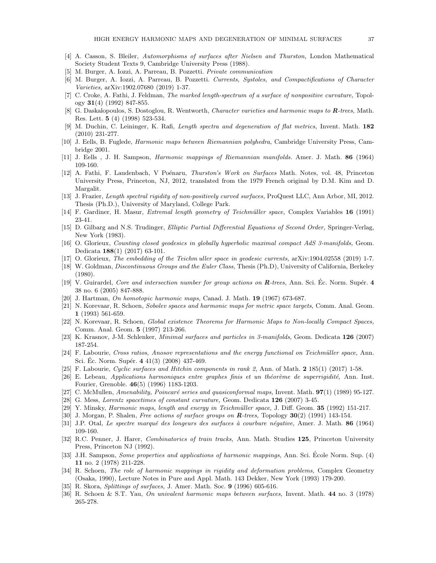- <span id="page-36-10"></span><span id="page-36-5"></span>[4] A. Casson, S. Bleiler, Automorphisms of surfaces after Nielsen and Thurston, London Mathematical Society Student Texts 9, Cambridge University Press (1988).
- <span id="page-36-23"></span>[5] M. Burger, A. Iozzi, A. Parreau, B. Pozzetti. Private communication
- [6] M. Burger, A. Iozzi, A. Parreau, B. Pozzetti. Currents, Systoles, and Compactifications of Character Varieties, arXiv:1902.07680 (2019) 1-37.
- <span id="page-36-18"></span>[7] C. Croke, A. Fathi, J. Feldman, *The marked length-spectrum of a surface of nonpositive curvature*, Topology  $31(4)$  (1992) 847-855.
- <span id="page-36-14"></span>[8] G. Daskalopoulos, S. Dostoglou, R. Wentworth, Character varieties and harmonic maps to **R**-trees, Math. Res. Lett. 5 (4) (1998) 523-534.
- <span id="page-36-26"></span>[9] M. Duchin, C. Leininger, K. Rafi, Length spectra and degeneration of flat metrics, Invent. Math. 182 (2010) 231-277.
- <span id="page-36-6"></span>[10] J. Eells, B. Fuglede, Harmonic maps between Riemannian polyhedra, Cambridge University Press, Cambridge 2001.
- <span id="page-36-12"></span>[11] J. Eells , J. H. Sampson, Harmonic mappings of Riemannian manifolds. Amer. J. Math. 86 (1964) 109-160.
- [12] A. Fathi, F. Laudenbach, V Poénaru, *Thurston's Work on Surfaces* Math. Notes, vol. 48, Princeton University Press, Princeton, NJ, 2012, translated from the 1979 French original by D.M. Kim and D. Margalit.
- <span id="page-36-17"></span>[13] J. Frazier, Length spectral rigidity of non-positively curved surfaces, ProQuest LLC, Ann Arbor, MI, 2012. Thesis (Ph.D.), University of Maryland, College Park.
- <span id="page-36-21"></span>[14] F. Gardiner, H. Masur, *Extremal length geometry of Teichmüller space*, Complex Variables 16 (1991) 23-41.
- <span id="page-36-3"></span>[15] D. Gilbarg and N.S. Trudinger, Elliptic Partial Differential Equations of Second Order, Springer-Verlag, New York (1983).
- [16] O. Glorieux, Counting closed geodesics in globally hyperbolic maximal compact AdS 3-manifolds, Geom. Dedicata 188(1) (2017) 63-101.
- <span id="page-36-30"></span><span id="page-36-4"></span>[17] O. Glorieux, The embedding of the Teichm uller space in geodesic currents, arXiv:1904.02558 (2019) 1-7.
- [18] W. Goldman, Discontinuous Groups and the Euler Class, Thesis (Ph.D), University of California, Berkeley (1980).
- <span id="page-36-29"></span>[19] V. Guirardel, *Core and intersection number for group actions on*  $\mathbb{R}$ *-trees*, Ann. Sci. Éc. Norm. Supér. 4 38 no. 6 (2005) 847-888.
- <span id="page-36-28"></span><span id="page-36-7"></span>[20] J. Hartman, On homotopic harmonic maps, Canad. J. Math. 19 (1967) 673-687.
- [21] N. Korevaar, R. Schoen, Sobolev spaces and harmonic maps for metric space targets, Comm. Anal. Geom. 1 (1993) 561-659.
- <span id="page-36-25"></span>[22] N. Korevaar, R. Schoen, Global existence Theorems for Harmonic Maps to Non-locally Compact Spaces, Comm. Anal. Geom. 5 (1997) 213-266.
- <span id="page-36-16"></span><span id="page-36-0"></span>[23] K. Krasnov, J-M. Schlenker, Minimal surfaces and particles in 3-manifolds, Geom. Dedicata 126 (2007) 187-254.
- [24] F. Labourie, Cross ratios, Anosov representations and the energy functional on Teichmüller space, Ann. Sci. Ec. Norm. Supér.  $4\ 41(3)\ (2008)\ 437-469$ .
- <span id="page-36-27"></span><span id="page-36-1"></span>[25] F. Labourie, Cyclic surfaces and Hitchin components in rank 2, Ann. of Math. 2 185(1) (2017) 1-58.
- $[26]$  E. Lebeau, Applications harmoniques entre graphes finis et un théorème de superrigidité, Ann. Inst. Fourier, Grenoble. 46(5) (1996) 1183-1203.
- <span id="page-36-22"></span><span id="page-36-15"></span>[27] C. McMullen, Amenability, Poincaré series and quasiconformal maps, Invent. Math.  $97(1)$  (1989) 95-127.
- <span id="page-36-19"></span>[28] G. Mess, Lorentz spacetimes of constant curvature, Geom. Dedicata 126 (2007) 3-45.
- <span id="page-36-24"></span>[29] Y. Minsky, *Harmonic maps, length and energy in Teichmüller space*, J. Diff. Geom. **35** (1992) 151-217.
- <span id="page-36-13"></span>[30] J. Morgan, P. Shalen, *Free actions of surface groups on R-trees*, Topology **30**(2) (1991) 143-154.
- <span id="page-36-11"></span>[31] J.P. Otal, Le spectre marqué des longeurs des surfaces à courbure négative, Amer. J. Math. 86 (1964) 109-160.
- [32] R.C. Penner, J. Harer, *Combinatorics of train tracks*, Ann. Math. Studies 125, Princeton University Press, Princeton NJ (1992).
- <span id="page-36-9"></span>[33] J.H. Sampson, *Some properties and applications of harmonic mappings*, Ann. Sci. Ecole Norm. Sup. (4) 11 no. 2 (1978) 211-228.
- <span id="page-36-2"></span>[34] R. Schoen, The role of harmonic mappings in rigidity and deformation problems, Complex Geometry (Osaka, 1990), Lecture Notes in Pure and Appl. Math. 143 Dekker, New York (1993) 179-200.
- <span id="page-36-20"></span><span id="page-36-8"></span>[35] R. Skora, Splittings of surfaces, J. Amer. Math. Soc. 9 (1996) 605-616.
- [36] R. Schoen & S.T. Yau, On univalent harmonic maps between surfaces, Invent. Math. 44 no. 3 (1978) 265-278.